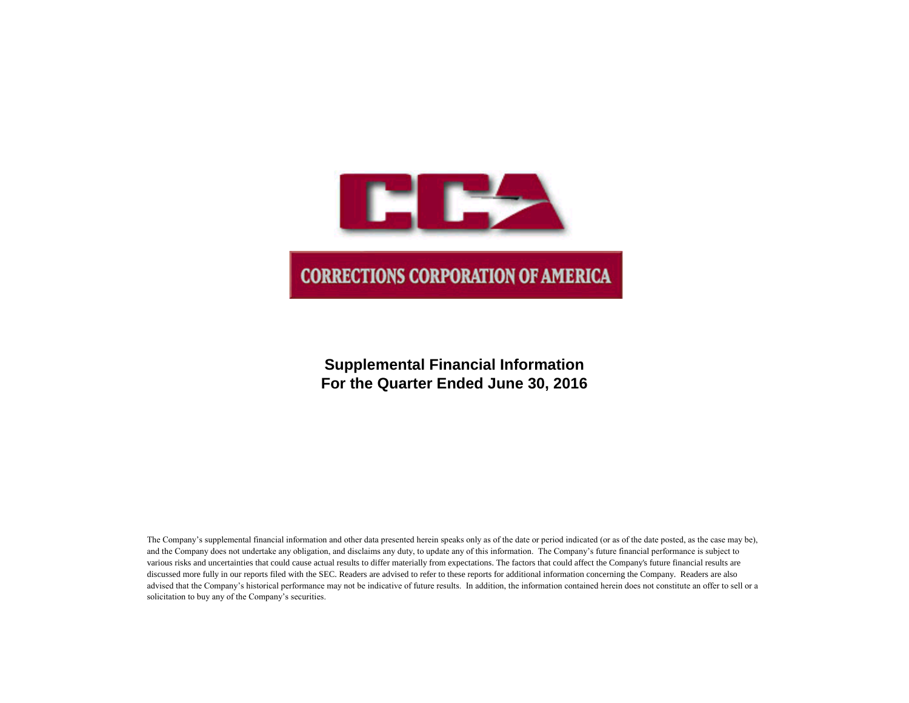

# **Supplemental Financial Information For the Quarter Ended June 30, 2016**

The Company's supplemental financial information and other data presented herein speaks only as of the date or period indicated (or as of the date posted, as the case may be), and the Company does not undertake any obligation, and disclaims any duty, to update any of this information. The Company's future financial performance is subject to various risks and uncertainties that could cause actual results to differ materially from expectations. The factors that could affect the Company's future financial results are discussed more fully in our reports filed with the SEC. Readers are advised to refer to these reports for additional information concerning the Company. Readers are also advised that the Company's historical performance may not be indicative of future results. In addition, the information contained herein does not constitute an offer to sell or a solicitation to buy any of the Company's securities.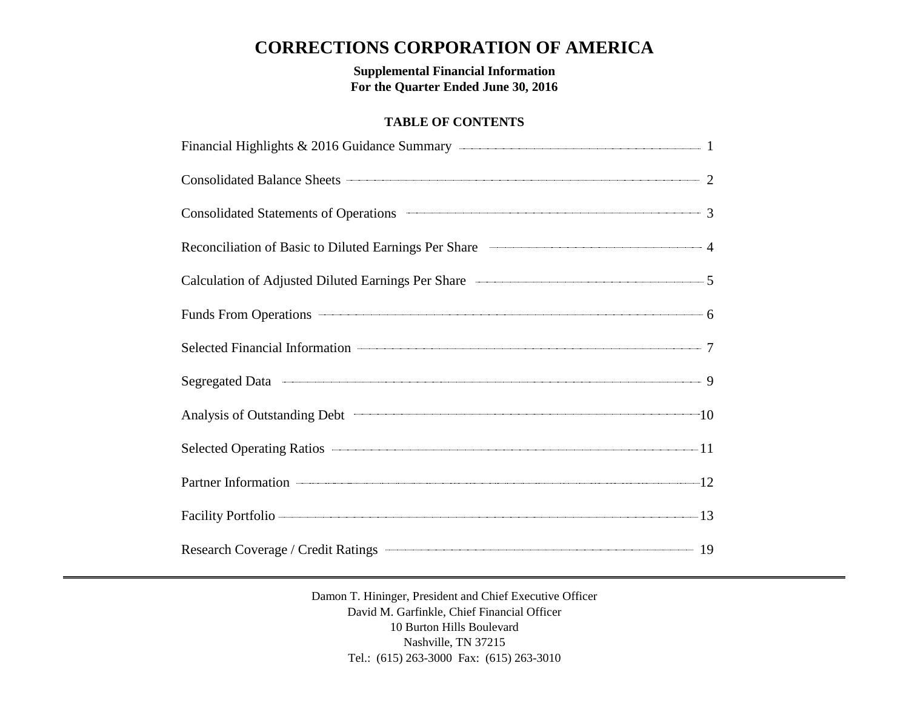# **CORRECTIONS CORPORATION OF AMERICA**

**Supplemental Financial Information For the Quarter Ended June 30, 2016**

# **TABLE OF CONTENTS**

| Consolidated Balance Sheets 2                                                                                |  |
|--------------------------------------------------------------------------------------------------------------|--|
| Consolidated Statements of Operations <b>Consolidated Statements</b> of Operations 3                         |  |
| Reconciliation of Basic to Diluted Earnings Per Share <b>Conserverse Conserverse Authority</b> 1             |  |
| Calculation of Adjusted Diluted Earnings Per Share <b>Calculation</b> of Adjusted Diluted Earnings Per Share |  |
| Funds From Operations 6                                                                                      |  |
|                                                                                                              |  |
|                                                                                                              |  |
| Analysis of Outstanding Debt 10                                                                              |  |
| Selected Operating Ratios 2014 11                                                                            |  |
| Partner Information 12                                                                                       |  |
|                                                                                                              |  |
| Research Coverage / Credit Ratings <b>Constant Coverage / Credit Ratings</b> 19                              |  |

Damon T. Hininger, President and Chief Executive Officer David M. Garfinkle, Chief Financial Officer 10 Burton Hills Boulevard Nashville, TN 37215 Tel.: (615) 263-3000 Fax: (615) 263-3010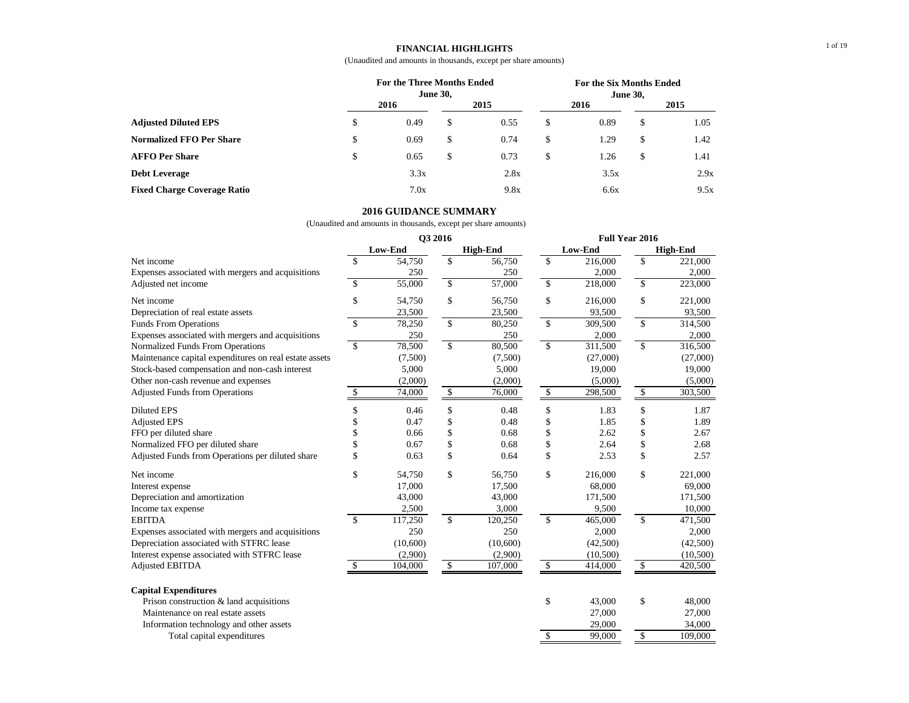#### **FINANCIAL HIGHLIGHTS**

(Unaudited and amounts in thousands, except per share amounts)

|                                    | For the Three Months Ended |                 |      | For the Six Months Ended |      |                 |      |  |  |
|------------------------------------|----------------------------|-----------------|------|--------------------------|------|-----------------|------|--|--|
|                                    |                            | <b>June 30,</b> |      |                          |      | <b>June 30,</b> |      |  |  |
|                                    | 2016                       |                 | 2015 |                          | 2016 |                 | 2015 |  |  |
| <b>Adjusted Diluted EPS</b>        | \$<br>0.49                 | S               | 0.55 | S                        | 0.89 | S               | 1.05 |  |  |
| <b>Normalized FFO Per Share</b>    | \$<br>0.69                 | S.              | 0.74 | \$                       | 1.29 | \$              | 1.42 |  |  |
| <b>AFFO Per Share</b>              | \$<br>0.65                 | \$              | 0.73 | \$                       | 1.26 | \$              | 1.41 |  |  |
| <b>Debt Leverage</b>               | 3.3x                       |                 | 2.8x |                          | 3.5x |                 | 2.9x |  |  |
| <b>Fixed Charge Coverage Ratio</b> | 7.0x                       |                 | 9.8x |                          | 6.6x |                 | 9.5x |  |  |

## **2016 GUIDANCE SUMMARY**

|                                                        |               | Q3 2016  |               |                 |                           |          |    |                 |
|--------------------------------------------------------|---------------|----------|---------------|-----------------|---------------------------|----------|----|-----------------|
|                                                        |               | Low-End  |               | <b>High-End</b> |                           | Low-End  |    | <b>High-End</b> |
| Net income                                             | $\mathcal{S}$ | 54,750   | \$            | 56,750          | \$                        | 216,000  | \$ | 221,000         |
| Expenses associated with mergers and acquisitions      |               | 250      |               | 250             |                           | 2,000    |    | 2,000           |
| Adjusted net income                                    | <sup>\$</sup> | 55,000   | $\mathbb{S}$  | 57,000          | \$                        | 218,000  | \$ | 223,000         |
| Net income                                             | \$            | 54,750   | \$            | 56,750          | \$                        | 216,000  | \$ | 221,000         |
| Depreciation of real estate assets                     |               | 23,500   |               | 23,500          |                           | 93,500   |    | 93,500          |
| <b>Funds From Operations</b>                           | <sup>\$</sup> | 78,250   | $\mathbb{S}$  | 80,250          | $\mathbb{S}$              | 309,500  | \$ | 314,500         |
| Expenses associated with mergers and acquisitions      |               | 250      |               | 250             |                           | 2,000    |    | 2,000           |
| Normalized Funds From Operations                       | \$            | 78,500   | \$            | 80,500          | \$                        | 311,500  | \$ | 316,500         |
| Maintenance capital expenditures on real estate assets |               | (7,500)  |               | (7,500)         |                           | (27,000) |    | (27,000)        |
| Stock-based compensation and non-cash interest         |               | 5,000    |               | 5,000           |                           | 19,000   |    | 19,000          |
| Other non-cash revenue and expenses                    |               | (2,000)  |               | (2,000)         |                           | (5,000)  |    | (5,000)         |
| <b>Adjusted Funds from Operations</b>                  | \$            | 74,000   | \$            | 76,000          | $\boldsymbol{\mathsf{S}}$ | 298,500  | \$ | 303,500         |
| <b>Diluted EPS</b>                                     | \$            | 0.46     | \$            | 0.48            | \$                        | 1.83     | \$ | 1.87            |
| <b>Adjusted EPS</b>                                    |               | 0.47     | \$            | 0.48            | \$                        | 1.85     | \$ | 1.89            |
| FFO per diluted share                                  | S             | 0.66     | \$            | 0.68            | \$                        | 2.62     | \$ | 2.67            |
| Normalized FFO per diluted share                       |               | 0.67     | \$            | 0.68            | \$                        | 2.64     | \$ | 2.68            |
| Adjusted Funds from Operations per diluted share       |               | 0.63     | \$            | 0.64            | \$                        | 2.53     | \$ | 2.57            |
| Net income                                             | \$            | 54,750   | \$            | 56,750          | \$                        | 216,000  | \$ | 221,000         |
| Interest expense                                       |               | 17,000   |               | 17,500          |                           | 68,000   |    | 69,000          |
| Depreciation and amortization                          |               | 43,000   |               | 43,000          |                           | 171,500  |    | 171,500         |
| Income tax expense                                     |               | 2,500    |               | 3,000           |                           | 9,500    |    | 10,000          |
| <b>EBITDA</b>                                          | $\mathbf S$   | 117,250  | <sup>\$</sup> | 120,250         | \$                        | 465,000  | \$ | 471,500         |
| Expenses associated with mergers and acquisitions      |               | 250      |               | 250             |                           | 2,000    |    | 2,000           |
| Depreciation associated with STFRC lease               |               | (10,600) |               | (10,600)        |                           | (42,500) |    | (42,500)        |
| Interest expense associated with STFRC lease           |               | (2,900)  |               | (2,900)         |                           | (10,500) |    | (10,500)        |
| <b>Adjusted EBITDA</b>                                 | -S            | 104,000  | \$            | 107,000         | $\mathbb{S}$              | 414,000  | \$ | 420,500         |
| <b>Capital Expenditures</b>                            |               |          |               |                 |                           |          |    |                 |
| Prison construction & land acquisitions                |               |          |               |                 | \$                        | 43,000   | \$ | 48,000          |
| Maintenance on real estate assets                      |               |          |               |                 |                           | 27,000   |    | 27,000          |
| Information technology and other assets                |               |          |               |                 |                           | 29,000   |    | 34,000          |
| Total capital expenditures                             |               |          |               |                 | $\mathbb{S}$              | 99,000   | \$ | 109,000         |
|                                                        |               |          |               |                 |                           |          |    |                 |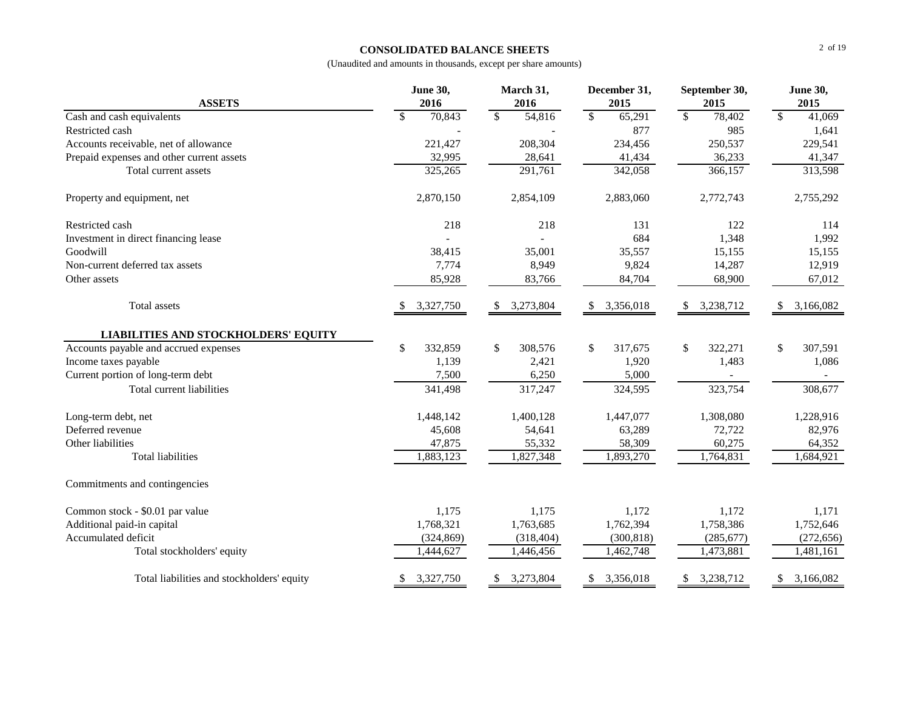# **CONSOLIDATED BALANCE SHEETS**

|                                                                   | June 30,                       | March 31,                       | December 31,                   | September 30,        | <b>June 30,</b><br>2015 |  |  |
|-------------------------------------------------------------------|--------------------------------|---------------------------------|--------------------------------|----------------------|-------------------------|--|--|
| <b>ASSETS</b>                                                     | 2016<br>70,843<br>$\mathbb{S}$ | 2016<br>54,816<br><sup>\$</sup> | 2015<br>$\mathbb{S}$<br>65,291 | 2015<br>\$<br>78,402 | $\mathbb{S}$            |  |  |
| Cash and cash equivalents<br>Restricted cash                      |                                |                                 | 877                            | 985                  | 41,069<br>1,641         |  |  |
| Accounts receivable, net of allowance                             | 221,427                        | 208,304                         | 234,456                        | 250,537              | 229,541                 |  |  |
|                                                                   | 32,995                         | 28,641                          | 41,434                         | 36,233               | 41,347                  |  |  |
| Prepaid expenses and other current assets<br>Total current assets | 325,265                        | 291,761                         | 342,058                        | 366,157              | 313,598                 |  |  |
|                                                                   |                                |                                 |                                |                      |                         |  |  |
| Property and equipment, net                                       | 2,870,150                      | 2,854,109                       | 2,883,060                      | 2,772,743            | 2,755,292               |  |  |
| Restricted cash                                                   | 218                            | 218                             | 131                            | 122                  | 114                     |  |  |
| Investment in direct financing lease                              |                                |                                 | 684                            | 1,348                | 1,992                   |  |  |
| Goodwill                                                          | 38,415                         | 35,001                          | 35,557                         | 15,155               | 15,155                  |  |  |
| Non-current deferred tax assets                                   | 7,774                          | 8,949                           | 9,824                          | 14,287               | 12,919                  |  |  |
| Other assets                                                      | 85,928                         | 83,766                          | 84,704                         | 68,900               | 67,012                  |  |  |
| Total assets                                                      | 3,327,750<br>S.                | 3,273,804<br><sup>\$</sup>      | 3,356,018<br>\$                | 3,238,712<br>\$      | \$<br>3,166,082         |  |  |
| <b>LIABILITIES AND STOCKHOLDERS' EQUITY</b>                       |                                |                                 |                                |                      |                         |  |  |
| Accounts payable and accrued expenses                             | \$<br>332,859                  | $\mathbb{S}$<br>308,576         | $\mathbb{S}$<br>317,675        | \$<br>322,271        | $\mathbb{S}$<br>307,591 |  |  |
| Income taxes payable                                              | 1,139                          | 2,421                           | 1,920                          | 1,483                | 1,086                   |  |  |
| Current portion of long-term debt                                 | 7,500                          | 6,250                           | 5,000                          |                      |                         |  |  |
| Total current liabilities                                         | 341,498                        | 317,247                         | 324,595                        | 323,754              | 308,677                 |  |  |
| Long-term debt, net                                               | 1,448,142                      | 1,400,128                       | 1,447,077                      | 1,308,080            | 1,228,916               |  |  |
| Deferred revenue                                                  | 45,608                         | 54,641                          | 63,289                         | 72,722               | 82,976                  |  |  |
| Other liabilities                                                 | 47,875                         | 55,332                          | 58,309                         | 60,275               | 64,352                  |  |  |
| <b>Total liabilities</b>                                          | 1,883,123                      | 1,827,348                       | 1,893,270                      | 1,764,831            | 1,684,921               |  |  |
| Commitments and contingencies                                     |                                |                                 |                                |                      |                         |  |  |
| Common stock - \$0.01 par value                                   | 1,175                          | 1,175                           | 1,172                          | 1,172                | 1,171                   |  |  |
| Additional paid-in capital                                        | 1,768,321                      | 1,763,685                       | 1,762,394                      | 1,758,386            | 1,752,646               |  |  |
| Accumulated deficit                                               | (324, 869)                     | (318, 404)                      | (300, 818)                     | (285, 677)           | (272, 656)              |  |  |
| Total stockholders' equity                                        | 1,444,627                      | 1,446,456                       | 1,462,748                      | 1,473,881            | 1,481,161               |  |  |
| Total liabilities and stockholders' equity                        | 3,327,750<br>\$                | 3,273,804<br>\$                 | 3,356,018<br>\$                | 3,238,712<br>\$      | 3,166,082<br>\$         |  |  |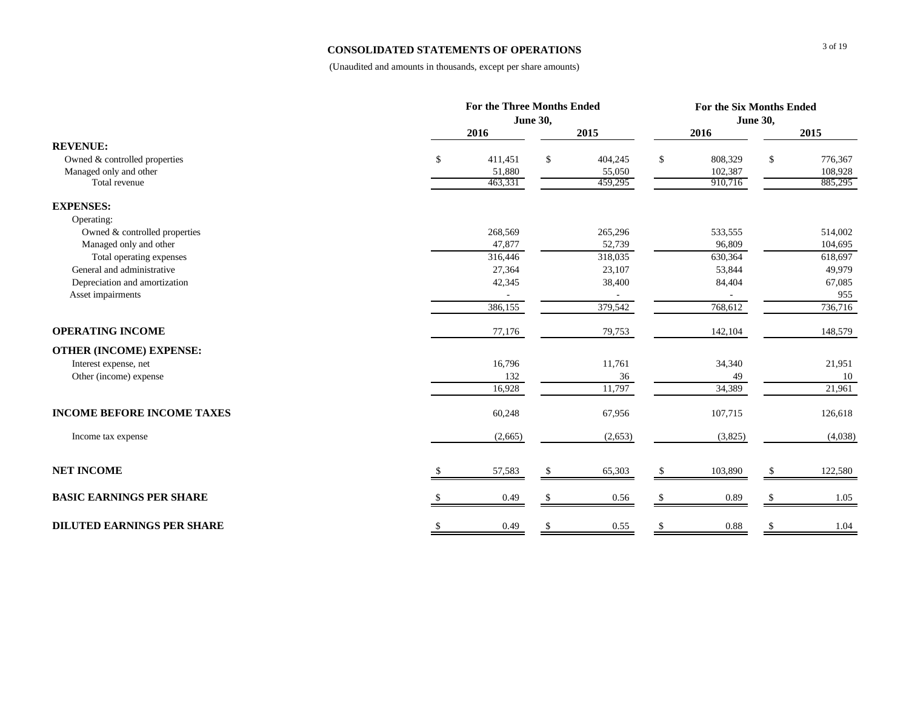# **CONSOLIDATED STATEMENTS OF OPERATIONS**

|                                   |               | <b>For the Three Months Ended</b> |         |     | For the Six Months Ended |    |         |  |  |
|-----------------------------------|---------------|-----------------------------------|---------|-----|--------------------------|----|---------|--|--|
|                                   |               | <b>June 30,</b>                   |         |     |                          |    |         |  |  |
|                                   | 2016          |                                   | 2015    |     | 2016                     |    | 2015    |  |  |
| <b>REVENUE:</b>                   |               |                                   |         |     |                          |    |         |  |  |
| Owned & controlled properties     | 411,451<br>\$ | \$                                | 404,245 | \$  | 808,329                  | \$ | 776,367 |  |  |
| Managed only and other            | 51,880        |                                   | 55,050  |     | 102,387                  |    | 108,928 |  |  |
| Total revenue                     | 463,331       |                                   | 459,295 |     | 910,716                  |    | 885,295 |  |  |
| <b>EXPENSES:</b>                  |               |                                   |         |     |                          |    |         |  |  |
| Operating:                        |               |                                   |         |     |                          |    |         |  |  |
| Owned & controlled properties     | 268,569       |                                   | 265,296 |     | 533,555                  |    | 514,002 |  |  |
| Managed only and other            | 47,877        |                                   | 52,739  |     | 96,809                   |    | 104,695 |  |  |
| Total operating expenses          | 316,446       |                                   | 318,035 |     | 630,364                  |    | 618,697 |  |  |
| General and administrative        | 27,364        |                                   | 23,107  |     | 53,844                   |    | 49,979  |  |  |
| Depreciation and amortization     | 42,345        |                                   | 38,400  |     | 84,404                   |    | 67,085  |  |  |
| Asset impairments                 |               |                                   |         |     |                          |    | 955     |  |  |
|                                   | 386,155       |                                   | 379,542 |     | 768,612                  |    | 736,716 |  |  |
| <b>OPERATING INCOME</b>           | 77,176        |                                   | 79,753  |     | 142,104                  |    | 148,579 |  |  |
| <b>OTHER (INCOME) EXPENSE:</b>    |               |                                   |         |     |                          |    |         |  |  |
| Interest expense, net             | 16,796        |                                   | 11,761  |     | 34,340                   |    | 21,951  |  |  |
| Other (income) expense            |               | 132                               | 36      |     | 49                       |    | 10      |  |  |
|                                   | 16,928        |                                   | 11,797  |     | 34,389                   |    | 21,961  |  |  |
| <b>INCOME BEFORE INCOME TAXES</b> | 60,248        |                                   | 67,956  |     | 107,715                  |    | 126,618 |  |  |
| Income tax expense                | (2,665)       |                                   | (2,653) |     | (3,825)                  |    | (4,038) |  |  |
| <b>NET INCOME</b>                 | 57,583        | $\mathbb{S}$                      | 65,303  | \$  | 103,890                  | -S | 122,580 |  |  |
|                                   |               |                                   |         |     |                          |    |         |  |  |
| <b>BASIC EARNINGS PER SHARE</b>   |               | 0.49<br>\$.                       | 0.56    | \$. | 0.89                     |    | 1.05    |  |  |
| <b>DILUTED EARNINGS PER SHARE</b> | \$            | 0.49<br>\$                        | 0.55    | \$  | 0.88                     | \$ | 1.04    |  |  |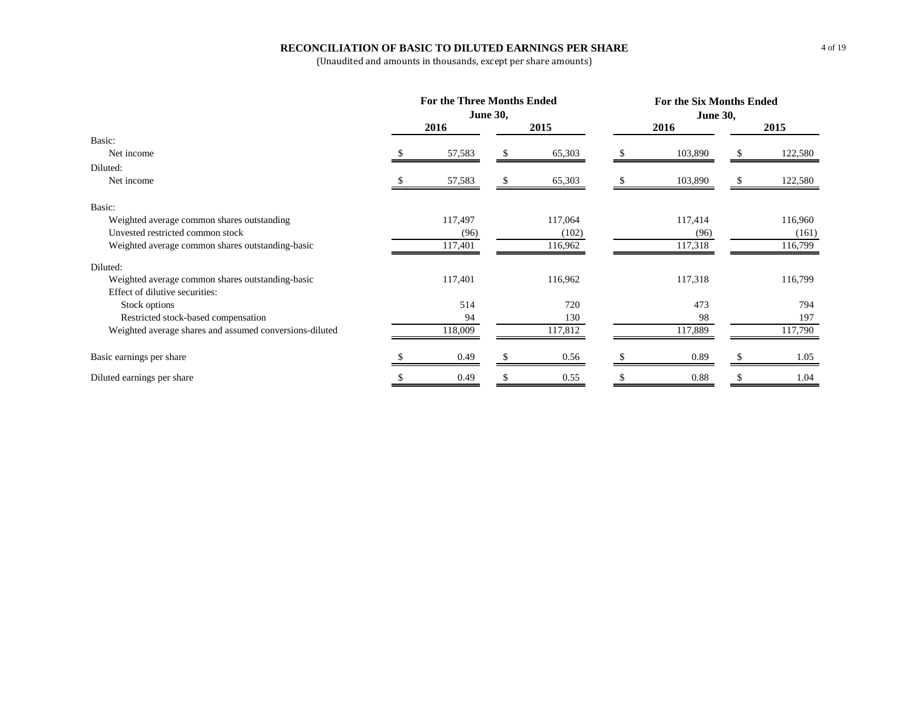# **RECONCILIATION OF BASIC TO DILUTED EARNINGS PER SHARE**

|                                                         | For the Three Months Ended<br><b>June 30,</b> |    |         | For the Six Months Ended<br><b>June 30,</b> |         |      |         |  |
|---------------------------------------------------------|-----------------------------------------------|----|---------|---------------------------------------------|---------|------|---------|--|
|                                                         | 2016                                          |    | 2015    |                                             | 2016    | 2015 |         |  |
| Basic:                                                  |                                               |    |         |                                             |         |      |         |  |
| Net income                                              | 57,583                                        | S. | 65,303  |                                             | 103,890 | ж    | 122,580 |  |
| Diluted:                                                |                                               |    |         |                                             |         |      |         |  |
| Net income                                              | 57,583                                        |    | 65,303  |                                             | 103,890 | \$   | 122,580 |  |
| Basic:                                                  |                                               |    |         |                                             |         |      |         |  |
| Weighted average common shares outstanding              | 117,497                                       |    | 117,064 |                                             | 117,414 |      | 116,960 |  |
| Unvested restricted common stock                        | (96)                                          |    | (102)   |                                             | (96)    |      | (161)   |  |
| Weighted average common shares outstanding-basic        | 117,401                                       |    | 116,962 |                                             | 117,318 |      | 116,799 |  |
| Diluted:                                                |                                               |    |         |                                             |         |      |         |  |
| Weighted average common shares outstanding-basic        | 117,401                                       |    | 116,962 |                                             | 117,318 |      | 116,799 |  |
| Effect of dilutive securities:                          |                                               |    |         |                                             |         |      |         |  |
| Stock options                                           | 514                                           |    | 720     |                                             | 473     |      | 794     |  |
| Restricted stock-based compensation                     | 94                                            |    | 130     |                                             | 98      |      | 197     |  |
| Weighted average shares and assumed conversions-diluted | 118,009                                       |    | 117,812 |                                             | 117,889 |      | 117,790 |  |
| Basic earnings per share                                | 0.49                                          |    | 0.56    |                                             | 0.89    |      | 1.05    |  |
| Diluted earnings per share                              | 0.49                                          |    | 0.55    |                                             | 0.88    |      | 1.04    |  |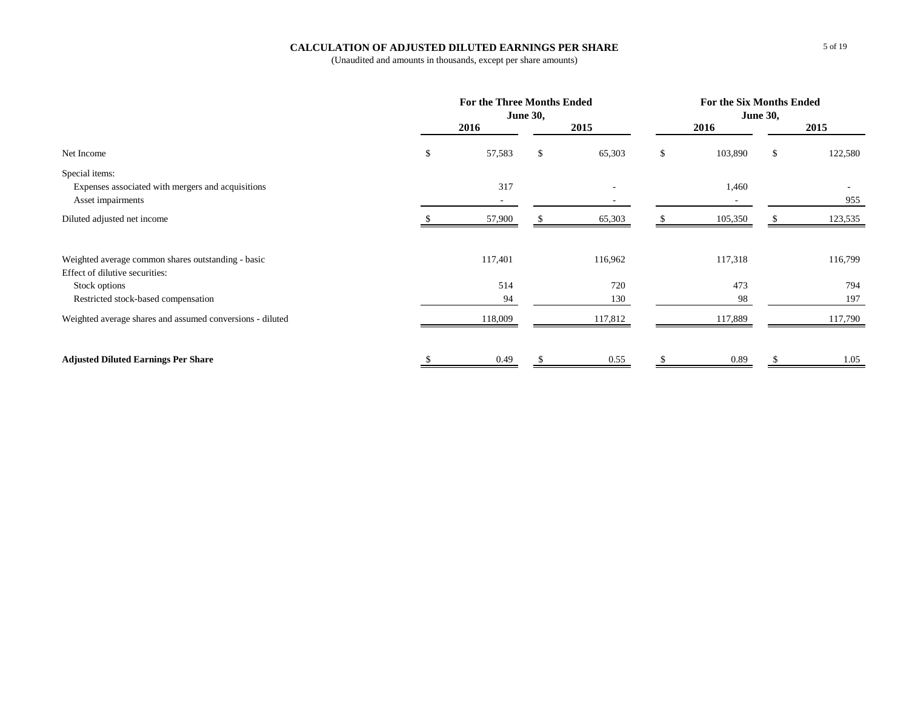# **CALCULATION OF ADJUSTED DILUTED EARNINGS PER SHARE**

|                                                           | <b>For the Three Months Ended</b><br><b>June 30,</b> |    |         |    |         | For the Six Months Ended<br><b>June 30,</b> |         |  |
|-----------------------------------------------------------|------------------------------------------------------|----|---------|----|---------|---------------------------------------------|---------|--|
|                                                           | 2016                                                 |    | 2015    |    | 2016    |                                             | 2015    |  |
| Net Income                                                | \$<br>57,583                                         | \$ | 65,303  | \$ | 103,890 | \$                                          | 122,580 |  |
| Special items:                                            |                                                      |    |         |    |         |                                             |         |  |
| Expenses associated with mergers and acquisitions         | 317                                                  |    |         |    | 1,460   |                                             |         |  |
| Asset impairments                                         |                                                      |    |         |    |         |                                             | 955     |  |
| Diluted adjusted net income                               | 57,900                                               |    | 65,303  |    | 105,350 |                                             | 123,535 |  |
| Weighted average common shares outstanding - basic        | 117,401                                              |    | 116,962 |    | 117,318 |                                             | 116,799 |  |
| Effect of dilutive securities:                            | 514                                                  |    | 720     |    | 473     |                                             | 794     |  |
| Stock options<br>Restricted stock-based compensation      | 94                                                   |    | 130     |    | 98      |                                             | 197     |  |
| Weighted average shares and assumed conversions - diluted | 118,009                                              |    | 117,812 |    | 117,889 |                                             | 117,790 |  |
| <b>Adjusted Diluted Earnings Per Share</b>                | 0.49                                                 |    | 0.55    |    | 0.89    |                                             | 1.05    |  |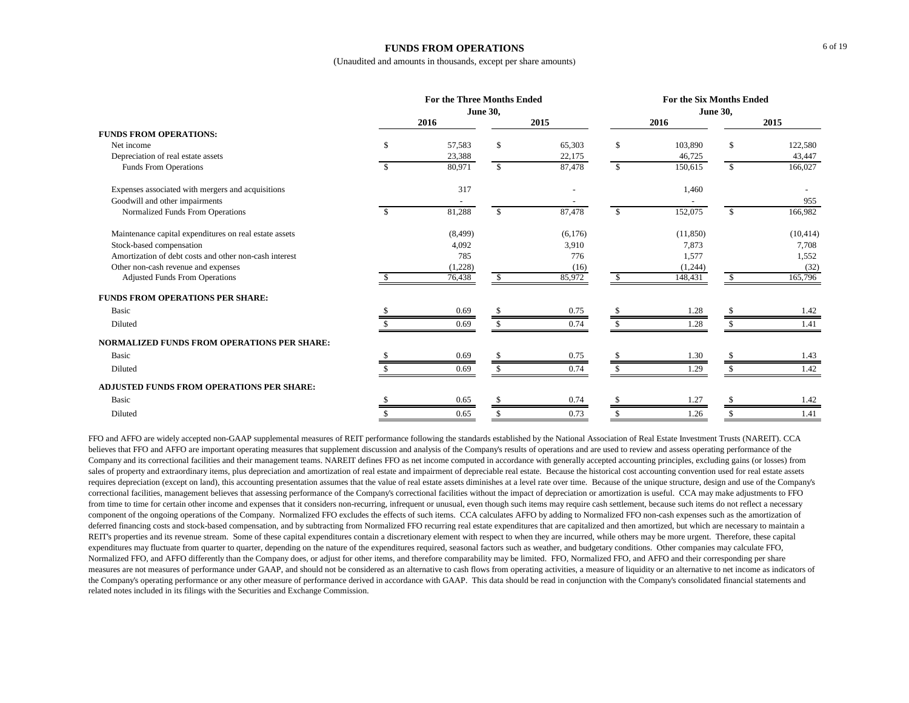#### **FUNDS FROM OPERATIONS**

(Unaudited and amounts in thousands, except per share amounts)

|                                                        |                 | <b>For the Three Months Ended</b> |               |         | <b>For the Six Months Ended</b> |           |                 |           |  |  |
|--------------------------------------------------------|-----------------|-----------------------------------|---------------|---------|---------------------------------|-----------|-----------------|-----------|--|--|
|                                                        | <b>June 30,</b> |                                   |               |         |                                 |           | <b>June 30,</b> |           |  |  |
|                                                        |                 | 2016                              |               | 2015    |                                 | 2016      |                 | 2015      |  |  |
| <b>FUNDS FROM OPERATIONS:</b>                          |                 |                                   |               |         |                                 |           |                 |           |  |  |
| Net income                                             | \$.             | 57,583                            | \$            | 65,303  | $\mathbf{\hat{S}}$              | 103,890   | \$              | 122,580   |  |  |
| Depreciation of real estate assets                     |                 | 23,388                            |               | 22,175  |                                 | 46,725    |                 | 43,447    |  |  |
| Funds From Operations                                  | $\mathcal{S}$   | 80,971                            | $\mathbf{s}$  | 87,478  | $\mathbf{\hat{S}}$              | 150,615   | \$              | 166,027   |  |  |
| Expenses associated with mergers and acquisitions      |                 | 317                               |               |         |                                 | 1,460     |                 |           |  |  |
| Goodwill and other impairments                         |                 |                                   |               |         |                                 |           |                 | 955       |  |  |
| Normalized Funds From Operations                       |                 | 81,288                            | \$            | 87,478  | $\mathbb{S}$                    | 152,075   | \$              | 166,982   |  |  |
| Maintenance capital expenditures on real estate assets |                 | (8, 499)                          |               | (6,176) |                                 | (11, 850) |                 | (10, 414) |  |  |
| Stock-based compensation                               |                 | 4,092                             |               | 3,910   |                                 | 7,873     |                 | 7,708     |  |  |
| Amortization of debt costs and other non-cash interest |                 | 785                               |               | 776     |                                 | 1,577     |                 | 1,552     |  |  |
| Other non-cash revenue and expenses                    |                 | (1,228)                           |               | (16)    |                                 | (1,244)   |                 | (32)      |  |  |
| <b>Adjusted Funds From Operations</b>                  |                 | 76,438                            | <sup>\$</sup> | 85,972  | -S                              | 148,431   | <sup>\$</sup>   | 165,796   |  |  |
| <b>FUNDS FROM OPERATIONS PER SHARE:</b>                |                 |                                   |               |         |                                 |           |                 |           |  |  |
| Basic                                                  |                 | 0.69                              |               | 0.75    |                                 | 1.28      |                 | 1.42      |  |  |
| Diluted                                                |                 | 0.69                              |               | 0.74    |                                 | 1.28      |                 | 1.41      |  |  |
| <b>NORMALIZED FUNDS FROM OPERATIONS PER SHARE:</b>     |                 |                                   |               |         |                                 |           |                 |           |  |  |
| Basic                                                  |                 | 0.69                              |               | 0.75    |                                 | 1.30      |                 | 1.43      |  |  |
| Diluted                                                |                 | 0.69                              |               | 0.74    |                                 | 1.29      |                 | 1.42      |  |  |
| <b>ADJUSTED FUNDS FROM OPERATIONS PER SHARE:</b>       |                 |                                   |               |         |                                 |           |                 |           |  |  |
| Basic                                                  |                 | 0.65                              |               | 0.74    |                                 | 1.27      |                 | 1.42      |  |  |
| Diluted                                                |                 | 0.65                              |               | 0.73    | £.                              | 1.26      |                 | 1.41      |  |  |

FFO and AFFO are widely accepted non-GAAP supplemental measures of REIT performance following the standards established by the National Association of Real Estate Investment Trusts (NAREIT). CCA believes that FFO and AFFO are important operating measures that supplement discussion and analysis of the Company's results of operations and are used to review and assess operating performance of the Company and its correctional facilities and their management teams. NAREIT defines FFO as net income computed in accordance with generally accepted accounting principles, excluding gains (or losses) from sales of property and extraordinary items, plus depreciation and amortization of real estate and impairment of depreciable real estate. Because the historical cost accounting convention used for real estate assets requires depreciation (except on land), this accounting presentation assumes that the value of real estate assets diminishes at a level rate over time. Because of the unique structure, design and use of the Company's correctional facilities, management believes that assessing performance of the Company's correctional facilities without the impact of depreciation or amortization is useful. CCA may make adjustments to FFO from time to time for certain other income and expenses that it considers non-recurring, infrequent or unusual, even though such items may require cash settlement, because such items do not reflect a necessary component of the ongoing operations of the Company. Normalized FFO excludes the effects of such items. CCA calculates AFFO by adding to Normalized FFO non-cash expenses such as the amortization of deferred financing costs and stock-based compensation, and by subtracting from Normalized FFO recurring real estate expenditures that are capitalized and then amortized, but which are necessary to maintain a REIT's properties and its revenue stream. Some of these capital expenditures contain a discretionary element with respect to when they are incurred, while others may be more urgent. Therefore, these capital expenditures may fluctuate from quarter to quarter, depending on the nature of the expenditures required, seasonal factors such as weather, and budgetary conditions. Other companies may calculate FFO, Normalized FFO, and AFFO differently than the Company does, or adjust for other items, and therefore comparability may be limited. FFO, Normalized FFO, and AFFO and their corresponding per share measures are not measures of performance under GAAP, and should not be considered as an alternative to cash flows from operating activities, a measure of liquidity or an alternative to net income as indicators of the Company's operating performance or any other measure of performance derived in accordance with GAAP. This data should be read in conjunction with the Company's consolidated financial statements and related notes included in its filings with the Securities and Exchange Commission.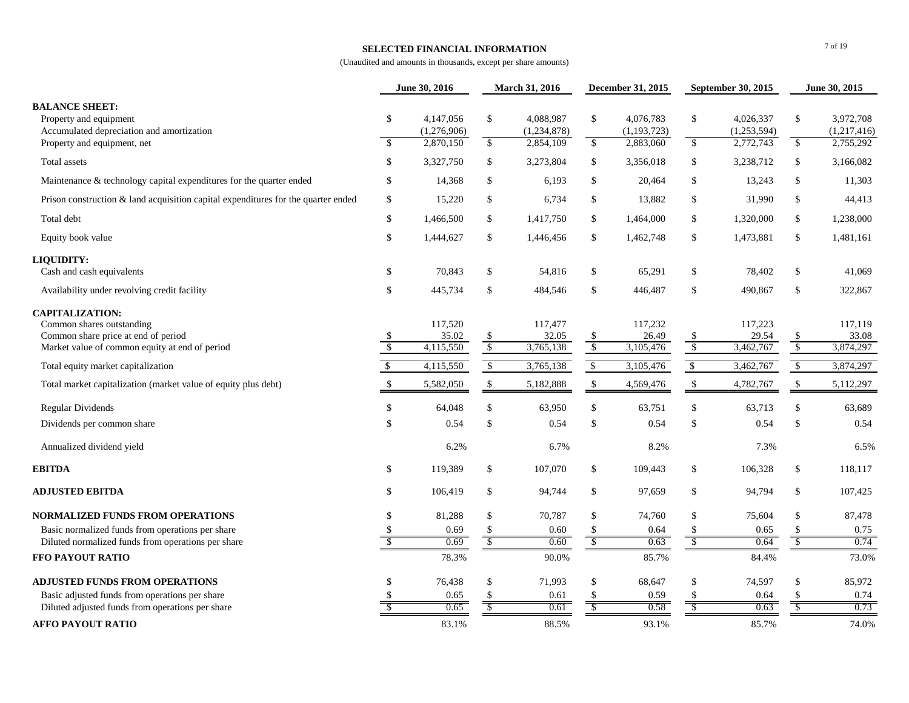# **SELECTED FINANCIAL INFORMATION**

|                                                                                                                                              | June 30, 2016            |                                       | March 31, 2016                 |                                         | December 31, 2015              |                                         | September 30, 2015                        |                                       | June 30, 2015                             |                                       |
|----------------------------------------------------------------------------------------------------------------------------------------------|--------------------------|---------------------------------------|--------------------------------|-----------------------------------------|--------------------------------|-----------------------------------------|-------------------------------------------|---------------------------------------|-------------------------------------------|---------------------------------------|
| <b>BALANCE SHEET:</b><br>Property and equipment<br>Accumulated depreciation and amortization<br>Property and equipment, net                  | \$<br>$\mathbf{\hat{S}}$ | 4,147,056<br>(1,276,906)<br>2,870,150 | \$<br>$\mathbb{S}$             | 4,088,987<br>(1, 234, 878)<br>2,854,109 | \$<br>$\mathsf{\$}$            | 4,076,783<br>(1, 193, 723)<br>2,883,060 | \$<br>$\mathbb{S}$                        | 4,026,337<br>(1,253,594)<br>2,772,743 | \$<br>$\frac{1}{2}$                       | 3,972,708<br>(1,217,416)<br>2,755,292 |
| Total assets                                                                                                                                 | \$                       | 3,327,750                             | \$                             | 3,273,804                               | \$                             | 3,356,018                               | \$                                        | 3,238,712                             | \$                                        | 3,166,082                             |
| Maintenance & technology capital expenditures for the quarter ended                                                                          | $\mathbb{S}$             | 14,368                                | \$                             | 6,193                                   | \$                             | 20,464                                  | \$                                        | 13,243                                | \$                                        | 11,303                                |
| Prison construction & land acquisition capital expenditures for the quarter ended                                                            | \$                       | 15,220                                | \$                             | 6,734                                   | \$                             | 13,882                                  | \$                                        | 31,990                                | \$                                        | 44,413                                |
| Total debt                                                                                                                                   | \$                       | 1,466,500                             | \$                             | 1,417,750                               | \$                             | 1,464,000                               | \$                                        | 1,320,000                             | \$                                        | 1,238,000                             |
| Equity book value                                                                                                                            | \$                       | 1,444,627                             | \$                             | 1,446,456                               | \$                             | 1,462,748                               | \$                                        | 1,473,881                             | \$                                        | 1,481,161                             |
| LIQUIDITY:                                                                                                                                   |                          |                                       |                                |                                         |                                |                                         |                                           |                                       |                                           |                                       |
| Cash and cash equivalents                                                                                                                    | \$                       | 70,843                                | \$                             | 54,816                                  | \$                             | 65,291                                  | \$                                        | 78,402                                | \$                                        | 41,069                                |
| Availability under revolving credit facility                                                                                                 | $\mathbb{S}$             | 445,734                               | $\mathbb{S}$                   | 484,546                                 | \$                             | 446,487                                 | \$                                        | 490,867                               | \$                                        | 322,867                               |
| <b>CAPITALIZATION:</b><br>Common shares outstanding<br>Common share price at end of period<br>Market value of common equity at end of period | -S<br>$\sqrt{2}$         | 117,520<br>35.02<br>4,115,550         | $\sqrt{2}$                     | 117,477<br>32.05<br>3,765,138           | \$<br>$\overline{\mathcal{S}}$ | 117,232<br>26.49<br>3,105,476           | \$<br>$\sqrt[3]{\frac{1}{2}}$             | 117,223<br>29.54<br>3,462,767         | $\mathcal{S}$<br>$\overline{\mathcal{S}}$ | 117,119<br>33.08<br>3,874,297         |
| Total equity market capitalization                                                                                                           | $\mathcal{S}$            | 4,115,550                             | $\sqrt[6]{\frac{1}{2}}$        | 3,765,138                               | $\sqrt[6]{\frac{1}{2}}$        | 3,105,476                               | $\sqrt[6]{\frac{1}{2}}$                   | 3,462,767                             | $\sqrt{3}$                                | 3,874,297                             |
| Total market capitalization (market value of equity plus debt)                                                                               | \$                       | 5,582,050                             | $\boldsymbol{\mathsf{S}}$      | 5,182,888                               | $\mathcal{S}$                  | 4,569,476                               | $\mathsf{\$}$                             | 4,782,767                             | $\mathcal{S}$                             | 5,112,297                             |
| <b>Regular Dividends</b>                                                                                                                     | \$                       | 64,048                                | \$                             | 63,950                                  | \$                             | 63,751                                  | \$                                        | 63,713                                | \$                                        | 63,689                                |
| Dividends per common share                                                                                                                   | $\mathbf S$              | 0.54                                  | \$                             | 0.54                                    | \$                             | 0.54                                    | \$                                        | 0.54                                  | \$                                        | 0.54                                  |
| Annualized dividend yield                                                                                                                    |                          | 6.2%                                  |                                | 6.7%                                    |                                | 8.2%                                    |                                           | 7.3%                                  |                                           | 6.5%                                  |
| <b>EBITDA</b>                                                                                                                                | \$                       | 119,389                               | \$                             | 107,070                                 | \$                             | 109,443                                 | \$                                        | 106,328                               | \$                                        | 118,117                               |
| <b>ADJUSTED EBITDA</b>                                                                                                                       | \$                       | 106,419                               | \$                             | 94,744                                  | \$                             | 97,659                                  | \$                                        | 94,794                                | \$                                        | 107,425                               |
| <b>NORMALIZED FUNDS FROM OPERATIONS</b>                                                                                                      | <sup>\$</sup>            | 81,288                                | \$                             | 70,787                                  | \$                             | 74,760                                  | \$                                        | 75,604                                | \$                                        | 87,478                                |
| Basic normalized funds from operations per share                                                                                             | \$                       | 0.69                                  | \$                             | 0.60                                    | \$                             | 0.64                                    | \$                                        | 0.65                                  | \$                                        | 0.75                                  |
| Diluted normalized funds from operations per share<br>FFO PAYOUT RATIO                                                                       | \$                       | 0.69<br>78.3%                         | $\overline{\mathcal{S}}$       | 0.60<br>90.0%                           | $\mathcal{S}$                  | 0.63<br>85.7%                           | $\mathcal{S}$                             | 0.64<br>84.4%                         | $\overline{\mathcal{S}}$                  | 0.74<br>73.0%                         |
|                                                                                                                                              |                          |                                       |                                |                                         |                                |                                         |                                           |                                       |                                           |                                       |
| <b>ADJUSTED FUNDS FROM OPERATIONS</b>                                                                                                        | <sup>\$</sup>            | 76,438                                | \$                             | 71,993                                  | \$                             | 68,647                                  | \$                                        | 74,597                                | \$                                        | 85,972                                |
| Basic adjusted funds from operations per share<br>Diluted adjusted funds from operations per share                                           |                          | 0.65<br>0.65                          | <sup>\$</sup><br>$\frac{1}{3}$ | 0.61<br>0.61                            | \$<br>$\frac{v}{\sqrt{2}}$     | 0.59<br>0.58                            | <sup>\$</sup><br>$\overline{\mathcal{S}}$ | 0.64<br>0.63                          | $\frac{1}{3}$                             | 0.74<br>0.73                          |
| <b>AFFO PAYOUT RATIO</b>                                                                                                                     |                          | 83.1%                                 |                                | 88.5%                                   |                                | 93.1%                                   |                                           | 85.7%                                 |                                           | 74.0%                                 |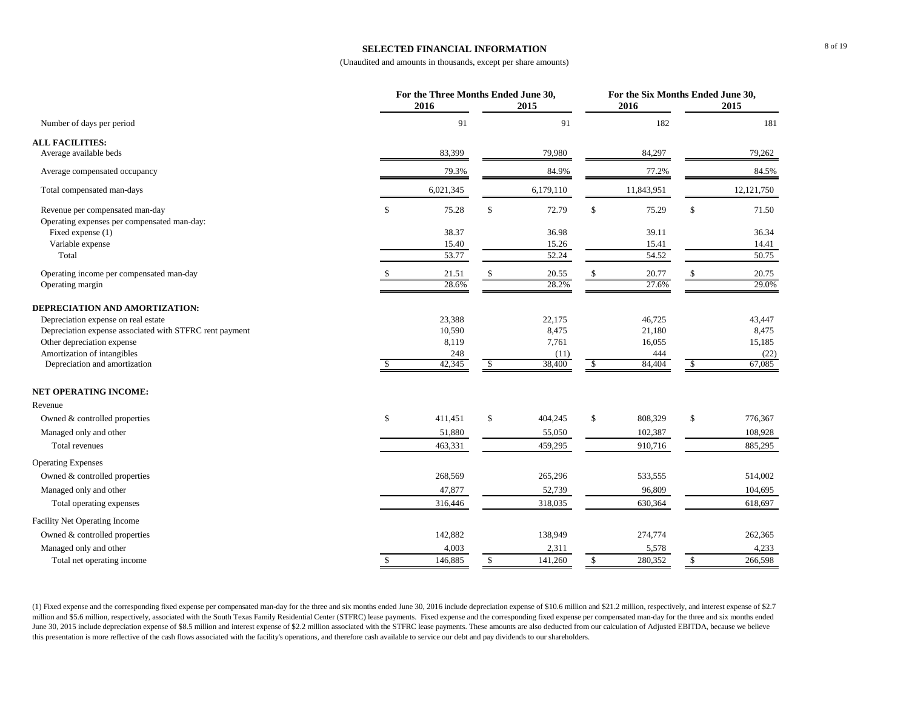#### **SELECTED FINANCIAL INFORMATION**

(Unaudited and amounts in thousands, except per share amounts)

|                                                                                |               | For the Three Months Ended June 30,<br>2016 |               | 2015          |               | For the Six Months Ended June 30,<br>2016 |               | 2015           |
|--------------------------------------------------------------------------------|---------------|---------------------------------------------|---------------|---------------|---------------|-------------------------------------------|---------------|----------------|
| Number of days per period                                                      |               | 91                                          |               | 91            |               | 182                                       |               | 181            |
| <b>ALL FACILITIES:</b><br>Average available beds                               |               | 83,399                                      |               | 79,980        |               | 84,297                                    |               | 79,262         |
| Average compensated occupancy                                                  |               | 79.3%                                       |               | 84.9%         |               | 77.2%                                     |               | 84.5%          |
| Total compensated man-days                                                     |               | 6,021,345                                   |               | 6,179,110     |               | 11,843,951                                |               | 12, 121, 750   |
| Revenue per compensated man-day<br>Operating expenses per compensated man-day: | \$            | 75.28                                       | $\mathcal{S}$ | 72.79         | \$            | 75.29                                     | \$            | 71.50          |
| Fixed expense (1)                                                              |               | 38.37                                       |               | 36.98         |               | 39.11                                     |               | 36.34          |
| Variable expense                                                               |               | 15.40                                       |               | 15.26         |               | 15.41                                     |               | 14.41          |
| Total                                                                          |               | 53.77                                       |               | 52.24         |               | 54.52                                     |               | 50.75          |
| Operating income per compensated man-day                                       |               | 21.51                                       | $\mathbb{S}$  | 20.55         | \$            | 20.77                                     | \$            | 20.75          |
| Operating margin                                                               |               | 28.6%                                       |               | 28.2%         |               | 27.6%                                     |               | 29.0%          |
| DEPRECIATION AND AMORTIZATION:                                                 |               |                                             |               |               |               |                                           |               |                |
| Depreciation expense on real estate                                            |               | 23,388                                      |               | 22,175        |               | 46,725                                    |               | 43,447         |
| Depreciation expense associated with STFRC rent payment                        |               | 10,590                                      |               | 8,475         |               | 21,180                                    |               | 8,475          |
| Other depreciation expense<br>Amortization of intangibles                      |               | 8,119<br>248                                |               | 7,761<br>(11) |               | 16,055<br>444                             |               | 15,185<br>(22) |
| Depreciation and amortization                                                  | <sup>\$</sup> | 42,345                                      | -S            | 38,400        | <sup>\$</sup> | 84,404                                    | <sup>\$</sup> | 67,085         |
| <b>NET OPERATING INCOME:</b>                                                   |               |                                             |               |               |               |                                           |               |                |
| Revenue                                                                        |               |                                             |               |               |               |                                           |               |                |
| Owned & controlled properties                                                  | \$            | 411,451                                     | $\mathbb{S}$  | 404,245       | \$            | 808,329                                   | \$            | 776,367        |
| Managed only and other                                                         |               | 51,880                                      |               | 55,050        |               | 102,387                                   |               | 108,928        |
| <b>Total revenues</b>                                                          |               | 463,331                                     |               | 459,295       |               | 910,716                                   |               | 885,295        |
| <b>Operating Expenses</b>                                                      |               |                                             |               |               |               |                                           |               |                |
| Owned & controlled properties                                                  |               | 268,569                                     |               | 265,296       |               | 533,555                                   |               | 514,002        |
| Managed only and other                                                         |               | 47,877                                      |               | 52,739        |               | 96,809                                    |               | 104,695        |
| Total operating expenses                                                       |               | 316,446                                     |               | 318,035       |               | 630,364                                   |               | 618,697        |
| <b>Facility Net Operating Income</b>                                           |               |                                             |               |               |               |                                           |               |                |
| Owned & controlled properties                                                  |               | 142,882                                     |               | 138,949       |               | 274,774                                   |               | 262,365        |
| Managed only and other                                                         |               | 4,003                                       |               | 2,311         |               | 5,578                                     |               | 4,233          |
| Total net operating income                                                     | \$            | 146,885                                     | $\mathbb{S}$  | 141,260       | \$            | 280,352                                   | $\mathbb{S}$  | 266,598        |

(1) Fixed expense and the corresponding fixed expense per compensated man-day for the three and six months ended June 30, 2016 include depreciation expense of \$10.6 million and \$21.2 million, respectively, and interest exp million and \$5.6 million, respectively, associated with the South Texas Family Residential Center (STFRC) lease payments. Fixed expense and the corresponding fixed expense per compensated man-day for the three and six mont June 30, 2015 include depreciation expense of \$8.5 million and interest expense of \$2.2 million associated with the STFRC lease payments. These amounts are also deducted from our calculation of Adjusted EBITDA, because we this presentation is more reflective of the cash flows associated with the facility's operations, and therefore cash available to service our debt and pay dividends to our shareholders.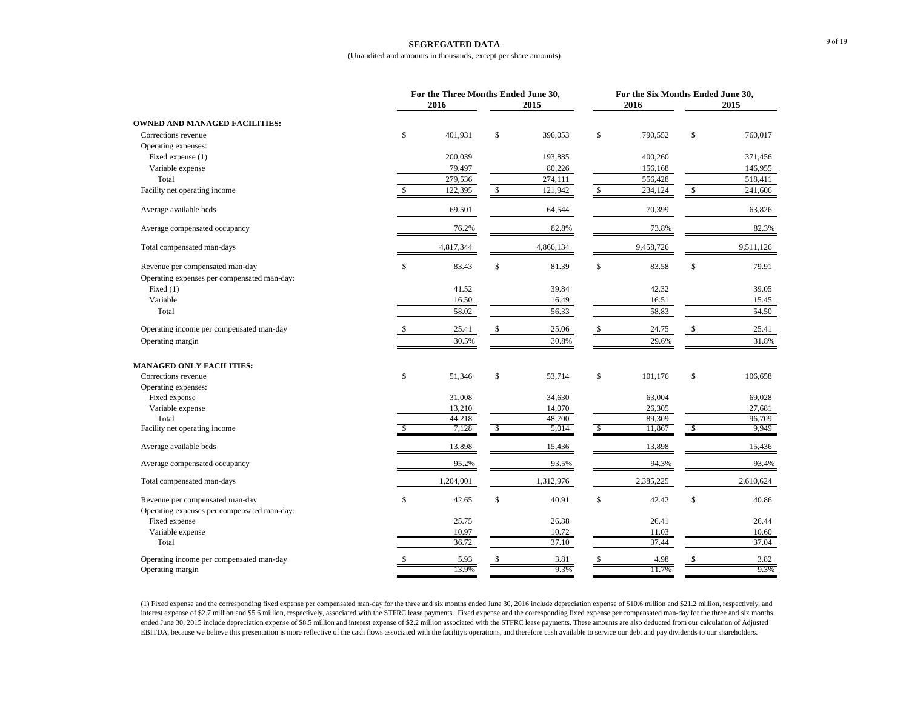#### **SEGREGATED DATA**

#### (Unaudited and amounts in thousands, except per share amounts)

|                                             |              | For the Three Months Ended June 30,<br>2016 |    | 2015      |               | 2016      | For the Six Months Ended June 30,<br>2015 |           |  |
|---------------------------------------------|--------------|---------------------------------------------|----|-----------|---------------|-----------|-------------------------------------------|-----------|--|
| <b>OWNED AND MANAGED FACILITIES:</b>        |              |                                             |    |           |               |           |                                           |           |  |
| Corrections revenue                         | \$           | 401,931                                     | \$ | 396,053   | \$            | 790,552   | \$                                        | 760,017   |  |
| Operating expenses:                         |              |                                             |    |           |               |           |                                           |           |  |
| Fixed expense (1)                           |              | 200,039                                     |    | 193,885   |               | 400,260   |                                           | 371,456   |  |
| Variable expense                            |              | 79,497                                      |    | 80,226    |               | 156,168   |                                           | 146,955   |  |
| Total                                       |              | 279,536                                     |    | 274,111   |               | 556,428   |                                           | 518,411   |  |
| Facility net operating income               | \$           | 122,395                                     | \$ | 121,942   | $\mathbb{S}$  | 234,124   | \$                                        | 241,606   |  |
| Average available beds                      |              | 69,501                                      |    | 64,544    |               | 70,399    |                                           | 63,826    |  |
| Average compensated occupancy               |              | 76.2%                                       |    | 82.8%     |               | 73.8%     |                                           | 82.3%     |  |
| Total compensated man-days                  |              | 4,817,344                                   |    | 4,866,134 |               | 9,458,726 |                                           | 9,511,126 |  |
| Revenue per compensated man-day             | \$           | 83.43                                       | \$ | 81.39     | \$            | 83.58     | $\$$                                      | 79.91     |  |
| Operating expenses per compensated man-day: |              |                                             |    |           |               |           |                                           |           |  |
| Fixed (1)                                   |              | 41.52                                       |    | 39.84     |               | 42.32     |                                           | 39.05     |  |
| Variable                                    |              | 16.50                                       |    | 16.49     |               | 16.51     |                                           | 15.45     |  |
| Total                                       |              | 58.02                                       |    | 56.33     |               | 58.83     |                                           | 54.50     |  |
| Operating income per compensated man-day    |              | 25.41                                       | S  | 25.06     | S             | 24.75     | <sup>\$</sup>                             | 25.41     |  |
| Operating margin                            |              | 30.5%                                       |    | 30.8%     |               | 29.6%     |                                           | 31.8%     |  |
| <b>MANAGED ONLY FACILITIES:</b>             |              |                                             |    |           |               |           |                                           |           |  |
| Corrections revenue                         | \$           | 51,346                                      | \$ | 53,714    | \$            | 101,176   | \$                                        | 106,658   |  |
| Operating expenses:                         |              |                                             |    |           |               |           |                                           |           |  |
| Fixed expense                               |              | 31,008                                      |    | 34,630    |               | 63,004    |                                           | 69,028    |  |
| Variable expense                            |              | 13,210                                      |    | 14,070    |               | 26,305    |                                           | 27,681    |  |
| Total                                       |              | 44,218                                      |    | 48,700    |               | 89,309    |                                           | 96,709    |  |
| Facility net operating income               |              | 7,128                                       | S  | 5,014     | <sup>\$</sup> | 11,867    | $\mathbb{S}$                              | 9,949     |  |
| Average available beds                      |              | 13,898                                      |    | 15,436    |               | 13,898    |                                           | 15,436    |  |
| Average compensated occupancy               |              | 95.2%                                       |    | 93.5%     |               | 94.3%     |                                           | 93.4%     |  |
| Total compensated man-days                  |              | 1,204,001                                   |    | 1,312,976 |               | 2,385,225 |                                           | 2,610,624 |  |
| Revenue per compensated man-day             | $\mathbb{S}$ | 42.65                                       | \$ | 40.91     | \$            | 42.42     | \$                                        | 40.86     |  |
| Operating expenses per compensated man-day: |              |                                             |    |           |               |           |                                           |           |  |
| Fixed expense                               |              | 25.75                                       |    | 26.38     |               | 26.41     |                                           | 26.44     |  |
| Variable expense                            |              | 10.97                                       |    | 10.72     |               | 11.03     |                                           | 10.60     |  |
| Total                                       |              | 36.72                                       |    | 37.10     |               | 37.44     |                                           | 37.04     |  |
| Operating income per compensated man-day    |              | 5.93                                        |    | 3.81      | \$            | 4.98      | \$.                                       | 3.82      |  |
| Operating margin                            |              | 13.9%                                       |    | 9.3%      |               | 11.7%     |                                           | 9.3%      |  |

(1) Fixed expense and the corresponding fixed expense per compensated man-day for the three and six months ended June 30, 2016 include depreciation expense of \$10.6 million and \$21.2 million, respectively, and interest expense of \$2.7 million and \$5.6 million, respectively, associated with the STFRC lease payments. Fixed expense and the corresponding fixed expense per compensated man-day for the three and six months ended June 30, 2015 include depreciation expense of \$8.5 million and interest expense of \$2.2 million associated with the STFRC lease payments. These amounts are also deducted from our calculation of Adjusted EBITDA, because we believe this presentation is more reflective of the cash flows associated with the facility's operations, and therefore cash available to service our debt and pay dividends to our shareholders.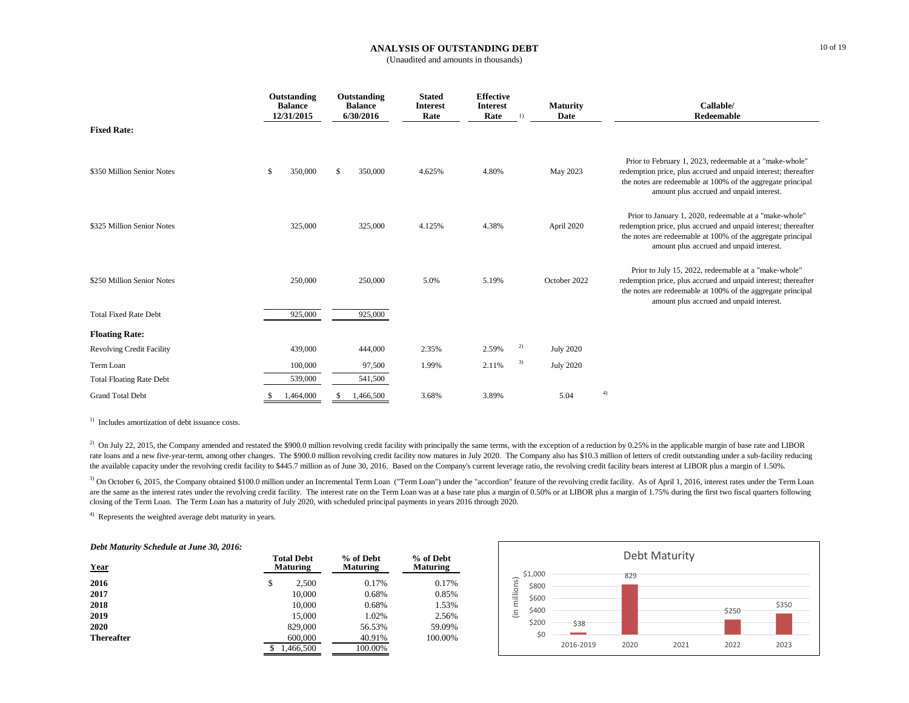#### **ANALYSIS OF OUTSTANDING DEBT**

(Unaudited and amounts in thousands)

|                                  | Outstanding<br><b>Balance</b><br>12/31/2015 | Outstanding<br><b>Balance</b><br>6/30/2016 | <b>Stated</b><br><b>Interest</b><br>Rate | <b>Effective</b><br><b>Interest</b><br>Rate | 1) | <b>Maturity</b><br>Date | Callable/<br>Redeemable                                                                                                                                                                                                              |
|----------------------------------|---------------------------------------------|--------------------------------------------|------------------------------------------|---------------------------------------------|----|-------------------------|--------------------------------------------------------------------------------------------------------------------------------------------------------------------------------------------------------------------------------------|
| <b>Fixed Rate:</b>               |                                             |                                            |                                          |                                             |    |                         |                                                                                                                                                                                                                                      |
| \$350 Million Senior Notes       | 350,000<br>\$                               | \$<br>350,000                              | 4.625%                                   | 4.80%                                       |    | May 2023                | Prior to February 1, 2023, redeemable at a "make-whole"<br>redemption price, plus accrued and unpaid interest; thereafter<br>the notes are redeemable at 100% of the aggregate principal<br>amount plus accrued and unpaid interest. |
| \$325 Million Senior Notes       | 325,000                                     | 325,000                                    | 4.125%                                   | 4.38%                                       |    | April 2020              | Prior to January 1, 2020, redeemable at a "make-whole"<br>redemption price, plus accrued and unpaid interest; thereafter<br>the notes are redeemable at 100% of the aggregate principal<br>amount plus accrued and unpaid interest.  |
| \$250 Million Senior Notes       | 250,000                                     | 250,000                                    | 5.0%                                     | 5.19%                                       |    | October 2022            | Prior to July 15, 2022, redeemable at a "make-whole"<br>redemption price, plus accrued and unpaid interest; thereafter<br>the notes are redeemable at 100% of the aggregate principal<br>amount plus accrued and unpaid interest.    |
| <b>Total Fixed Rate Debt</b>     | 925,000                                     | 925,000                                    |                                          |                                             |    |                         |                                                                                                                                                                                                                                      |
| <b>Floating Rate:</b>            |                                             |                                            |                                          |                                             |    |                         |                                                                                                                                                                                                                                      |
| <b>Revolving Credit Facility</b> | 439,000                                     | 444,000                                    | 2.35%                                    | 2.59%                                       | 2) | <b>July 2020</b>        |                                                                                                                                                                                                                                      |
| Term Loan                        | 100,000                                     | 97,500                                     | 1.99%                                    | 2.11%                                       | 3) | <b>July 2020</b>        |                                                                                                                                                                                                                                      |
| <b>Total Floating Rate Debt</b>  | 539,000                                     | 541,500                                    |                                          |                                             |    |                         |                                                                                                                                                                                                                                      |
| <b>Grand Total Debt</b>          | 1,464,000                                   | 1,466,500                                  | 3.68%                                    | 3.89%                                       |    | 5.04                    | 4)                                                                                                                                                                                                                                   |

<sup>1)</sup> Includes amortization of debt issuance costs.

<sup>2)</sup> On July 22, 2015, the Company amended and restated the \$900.0 million revolving credit facility with principally the same terms, with the exception of a reduction by 0.25% in the applicable margin of base rate and LI rate loans and a new five-year-term, among other changes. The \$900.0 million revolving credit facility now matures in July 2020. The Company also has \$10.3 million of letters of credit outstanding under a sub-facility redu the available capacity under the revolving credit facility to \$445.7 million as of June 30, 2016. Based on the Company's current leverage ratio, the revolving credit facility bears interest at LIBOR plus a margin of 1.50%.

<sup>3)</sup> On October 6, 2015, the Company obtained \$100.0 million under an Incremental Term Loan ("Term Loan") under the "accordion" feature of the revolving credit facility. As of April 1, 2016, interest rates under the Term L are the same as the interest rates under the revolving credit facility. The interest rate on the Term Loan was at a base rate plus a margin of 0.50% or at LIBOR plus a margin of 1.75% during the first two fiscal quarters f closing of the Term Loan. The Term Loan has a maturity of July 2020, with scheduled principal payments in years 2016 through 2020.

4) Represents the weighted average debt maturity in years.

#### *Debt Maturity Schedule at June 30, 2016:*

| <b>Year</b>       | <b>Total Debt</b><br><b>Maturing</b> | % of Debt<br><b>Maturing</b> | % of Debt<br><b>Maturing</b> |  |
|-------------------|--------------------------------------|------------------------------|------------------------------|--|
| 2016              | \$<br>2.500                          | 0.17%                        | 0.17%                        |  |
| 2017              | 10,000                               | 0.68%                        | 0.85%                        |  |
| 2018              | 10,000                               | 0.68%                        | 1.53%                        |  |
| 2019              | 15,000                               | 1.02%                        | 2.56%                        |  |
| 2020              | 829,000                              | 56.53%                       | 59.09%                       |  |
| <b>Thereafter</b> | 600,000                              | 40.91%                       | 100.00%                      |  |
|                   | 1.466.500<br>S                       | 100.00%                      |                              |  |

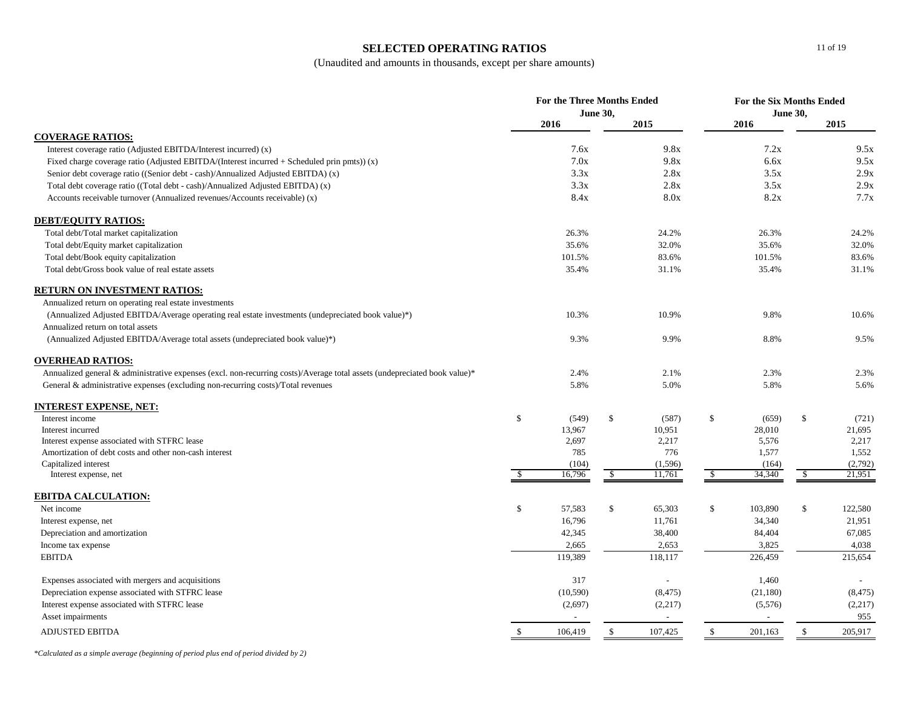# **SELECTED OPERATING RATIOS**

(Unaudited and amounts in thousands, except per share amounts)

|                                                                                                                           | For the Three Months Ended<br><b>June 30,</b> |                          |               |          |            | For the Six Months Ended<br><b>June 30,</b> |              |          |
|---------------------------------------------------------------------------------------------------------------------------|-----------------------------------------------|--------------------------|---------------|----------|------------|---------------------------------------------|--------------|----------|
|                                                                                                                           |                                               | 2016                     |               | 2015     |            | 2016                                        |              | 2015     |
| <b>COVERAGE RATIOS:</b>                                                                                                   |                                               |                          |               |          |            |                                             |              |          |
| Interest coverage ratio (Adjusted EBITDA/Interest incurred) (x)                                                           |                                               | 7.6x                     |               | 9.8x     |            | 7.2x                                        |              | 9.5x     |
| Fixed charge coverage ratio (Adjusted EBITDA/(Interest incurred $+$ Scheduled prin pmts)) (x)                             |                                               | 7.0x                     |               | 9.8x     |            | 6.6x                                        |              | 9.5x     |
| Senior debt coverage ratio ((Senior debt - cash)/Annualized Adjusted EBITDA) (x)                                          |                                               | 3.3x                     |               | 2.8x     |            | 3.5x                                        |              | 2.9x     |
| Total debt coverage ratio ((Total debt - cash)/Annualized Adjusted EBITDA) (x)                                            |                                               | 3.3x                     |               | 2.8x     |            | 3.5x                                        |              | 2.9x     |
| Accounts receivable turnover (Annualized revenues/Accounts receivable) (x)                                                |                                               | 8.4x                     |               | 8.0x     |            | 8.2x                                        |              | 7.7x     |
| <b>DEBT/EQUITY RATIOS:</b>                                                                                                |                                               |                          |               |          |            |                                             |              |          |
| Total debt/Total market capitalization                                                                                    |                                               | 26.3%                    |               | 24.2%    |            | 26.3%                                       |              | 24.2%    |
| Total debt/Equity market capitalization                                                                                   |                                               | 35.6%                    |               | 32.0%    |            | 35.6%                                       |              | 32.0%    |
| Total debt/Book equity capitalization                                                                                     |                                               | 101.5%                   |               | 83.6%    |            | 101.5%                                      |              | 83.6%    |
| Total debt/Gross book value of real estate assets                                                                         |                                               | 35.4%                    |               | 31.1%    |            | 35.4%                                       |              | 31.1%    |
| <b>RETURN ON INVESTMENT RATIOS:</b>                                                                                       |                                               |                          |               |          |            |                                             |              |          |
| Annualized return on operating real estate investments                                                                    |                                               |                          |               |          |            |                                             |              |          |
| (Annualized Adjusted EBITDA/Average operating real estate investments (undepreciated book value)*)                        |                                               | 10.3%                    |               | 10.9%    |            | 9.8%                                        |              | 10.6%    |
| Annualized return on total assets                                                                                         |                                               |                          |               |          |            |                                             |              |          |
| (Annualized Adjusted EBITDA/Average total assets (undepreciated book value)*)                                             |                                               | 9.3%                     |               | 9.9%     |            | 8.8%                                        |              | 9.5%     |
| <b>OVERHEAD RATIOS:</b>                                                                                                   |                                               |                          |               |          |            |                                             |              |          |
| Annualized general & administrative expenses (excl. non-recurring costs)/Average total assets (undepreciated book value)* |                                               | 2.4%                     |               | 2.1%     |            | 2.3%                                        |              | 2.3%     |
| General & administrative expenses (excluding non-recurring costs)/Total revenues                                          |                                               | 5.8%                     |               | 5.0%     |            | 5.8%                                        |              | 5.6%     |
| INTEREST EXPENSE, NET:                                                                                                    |                                               |                          |               |          |            |                                             |              |          |
| Interest income                                                                                                           | \$                                            | (549)                    | \$            | (587)    | \$         | (659)                                       | \$           | (721)    |
| Interest incurred                                                                                                         |                                               | 13,967                   |               | 10,951   |            | 28,010                                      |              | 21,695   |
| Interest expense associated with STFRC lease                                                                              |                                               | 2,697                    |               | 2,217    |            | 5,576                                       |              | 2,217    |
| Amortization of debt costs and other non-cash interest                                                                    |                                               | 785                      |               | 776      |            | 1,577                                       |              | 1,552    |
| Capitalized interest                                                                                                      |                                               | (104)                    |               | (1,596)  |            | (164)                                       |              | (2,792)  |
| Interest expense, net                                                                                                     | -S                                            | 16,796                   | \$            | 11,761   | $\sqrt{3}$ | 34,340                                      | \$           | 21,951   |
| <b>EBITDA CALCULATION:</b>                                                                                                |                                               |                          |               |          |            |                                             |              |          |
| Net income                                                                                                                | \$                                            | 57,583                   | $\mathcal{S}$ | 65,303   | \$         | 103,890                                     | $\mathbb{S}$ | 122,580  |
| Interest expense, net                                                                                                     |                                               | 16,796                   |               | 11,761   |            | 34,340                                      |              | 21,951   |
| Depreciation and amortization                                                                                             |                                               | 42,345                   |               | 38,400   |            | 84,404                                      |              | 67,085   |
| Income tax expense                                                                                                        |                                               | 2,665                    |               | 2,653    |            | 3,825                                       |              | 4,038    |
| <b>EBITDA</b>                                                                                                             |                                               | 119,389                  |               | 118,117  |            | 226,459                                     |              | 215,654  |
| Expenses associated with mergers and acquisitions                                                                         |                                               | 317                      |               |          |            | 1,460                                       |              | $\sim$   |
| Depreciation expense associated with STFRC lease                                                                          |                                               | (10, 590)                |               | (8, 475) |            | (21, 180)                                   |              | (8, 475) |
| Interest expense associated with STFRC lease                                                                              |                                               | (2,697)                  |               | (2,217)  |            | (5,576)                                     |              | (2,217)  |
| Asset impairments                                                                                                         |                                               | $\overline{\phantom{a}}$ |               | $\sim$   |            | $\overline{\phantom{a}}$                    |              | 955      |
| <b>ADJUSTED EBITDA</b>                                                                                                    | \$                                            | 106,419                  | $\mathcal{S}$ | 107,425  | \$         | 201,163                                     | $\mathbb{S}$ | 205,917  |

*\*Calculated as a simple average (beginning of period plus end of period divided by 2)*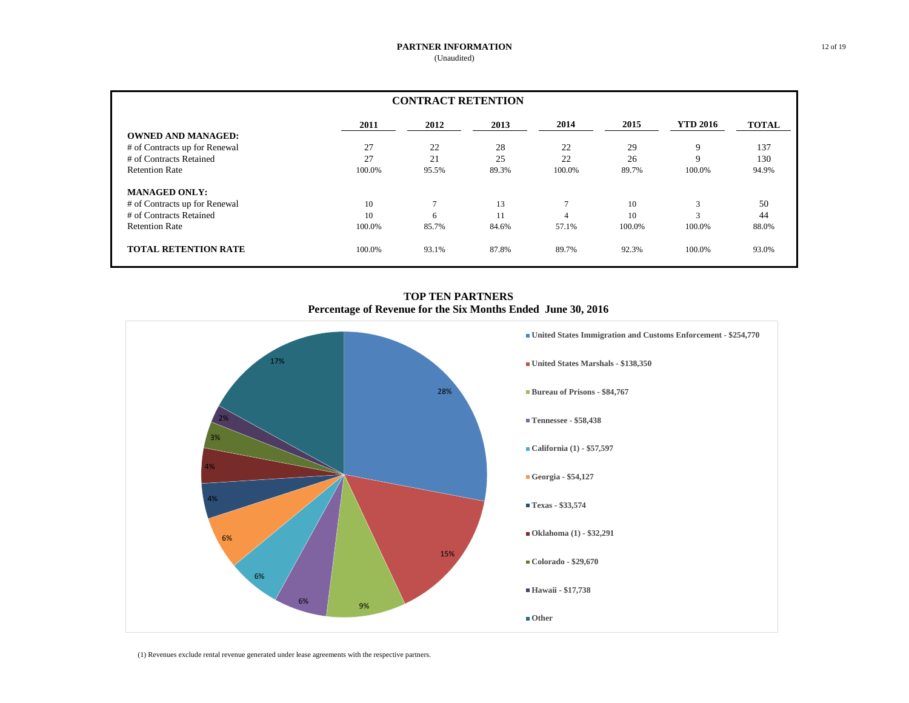| <b>CONTRACT RETENTION</b>     |        |       |       |        |        |                 |              |  |
|-------------------------------|--------|-------|-------|--------|--------|-----------------|--------------|--|
|                               | 2011   | 2012  | 2013  | 2014   | 2015   | <b>YTD 2016</b> | <b>TOTAL</b> |  |
| <b>OWNED AND MANAGED:</b>     |        |       |       |        |        |                 |              |  |
| # of Contracts up for Renewal | 27     | 22    | 28    | 22     | 29     | 9               | 137          |  |
| # of Contracts Retained       | 27     | 21    | 25    | 22     | 26     | $\mathbf Q$     | 130          |  |
| <b>Retention Rate</b>         | 100.0% | 95.5% | 89.3% | 100.0% | 89.7%  | 100.0%          | 94.9%        |  |
| <b>MANAGED ONLY:</b>          |        |       |       |        |        |                 |              |  |
| # of Contracts up for Renewal | 10     | n,    | 13    | ÷      | 10     | 3               | 50           |  |
| # of Contracts Retained       | 10     | 6     | 11    | 4      | 10     | $\sim$          | 44           |  |
| <b>Retention Rate</b>         | 100.0% | 85.7% | 84.6% | 57.1%  | 100.0% | 100.0%          | 88.0%        |  |
| <b>TOTAL RETENTION RATE</b>   | 100.0% | 93.1% | 87.8% | 89.7%  | 92.3%  | 100.0%          | 93.0%        |  |

**TOP TEN PARTNERS Percentage of Revenue for the Six Months Ended June 30, 2016**



(1) Revenues exclude rental revenue generated under lease agreements with the respective partners.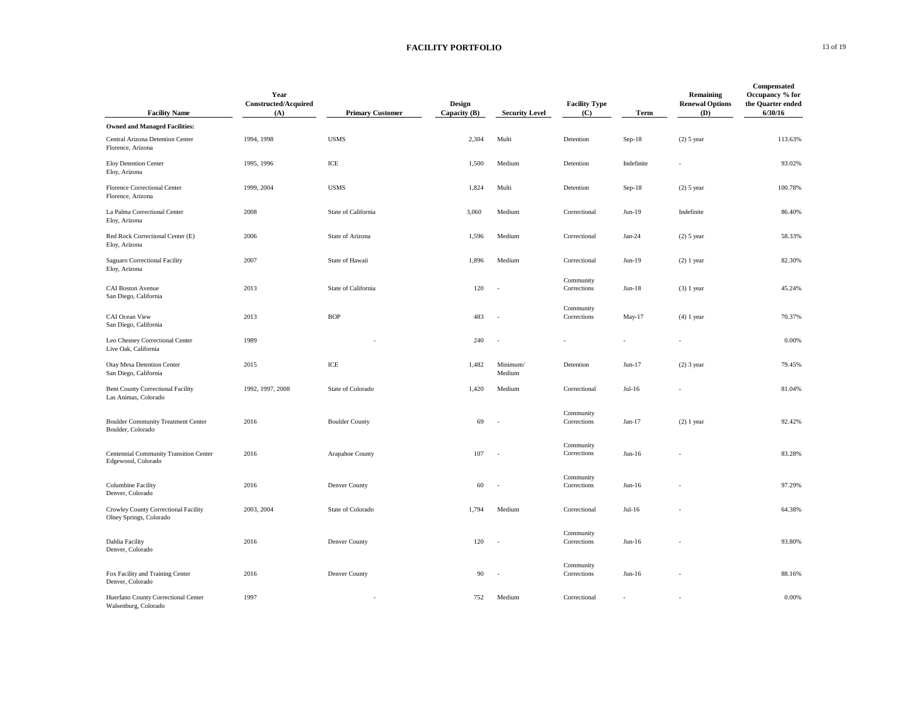### **FACILITY PORTFOLIO** 13 of 19

| <b>Facility Name</b>                                                                          | Year<br><b>Constructed/Acquired</b><br>(A) | <b>Primary Customer</b> | Design<br>Capacity (B) | <b>Security Level</b>    | <b>Facility Type</b><br>(C) | Term       | Remaining<br><b>Renewal Options</b><br>(D) | Compensated<br>Occupancy % for<br>the Quarter ended<br>6/30/16 |
|-----------------------------------------------------------------------------------------------|--------------------------------------------|-------------------------|------------------------|--------------------------|-----------------------------|------------|--------------------------------------------|----------------------------------------------------------------|
|                                                                                               |                                            |                         |                        |                          |                             |            |                                            |                                                                |
| <b>Owned and Managed Facilities:</b><br>Central Arizona Detention Center<br>Florence, Arizona | 1994, 1998                                 | <b>USMS</b>             | 2,304                  | Multi                    | Detention                   | $Sep-18$   | $(2)$ 5 year                               | 113.63%                                                        |
| Eloy Detention Center<br>Eloy, Arizona                                                        | 1995, 1996                                 | $\rm ICE$               | 1,500                  | Medium                   | Detention                   | Indefinite |                                            | 93.02%                                                         |
| Florence Correctional Center<br>Florence, Arizona                                             | 1999, 2004                                 | <b>USMS</b>             | 1,824                  | Multi                    | Detention                   | $Sep-18$   | $(2)$ 5 year                               | 100.78%                                                        |
| La Palma Correctional Center<br>Eloy, Arizona                                                 | 2008                                       | State of California     | 3,060                  | Medium                   | Correctional                | $Jun-19$   | Indefinite                                 | 86.40%                                                         |
| Red Rock Correctional Center (E)<br>Eloy, Arizona                                             | 2006                                       | State of Arizona        | 1,596                  | Medium                   | Correctional                | $Jan-24$   | $(2)$ 5 year                               | 58.33%                                                         |
| Saguaro Correctional Facility<br>Eloy, Arizona                                                | 2007                                       | State of Hawaii         | 1,896                  | Medium                   | Correctional                | Jun-19     | $(2)$ 1 year                               | 82.30%                                                         |
| <b>CAI Boston Avenue</b><br>San Diego, California                                             | 2013                                       | State of California     | 120                    | $\sim$                   | Community<br>Corrections    | $Jun-18$   | $(3)$ 1 year                               | 45.24%                                                         |
| CAI Ocean View<br>San Diego, California                                                       | 2013                                       | <b>BOP</b>              | 483                    |                          | Community<br>Corrections    | May-17     | $(4)$ 1 year                               | 70.37%                                                         |
| Leo Chesney Correctional Center<br>Live Oak, California                                       | 1989                                       |                         | 240                    |                          |                             |            |                                            | 0.00%                                                          |
| Otay Mesa Detention Center<br>San Diego, California                                           | 2015                                       | ICE                     | 1,482                  | Minimum/<br>Medium       | Detention                   | $Jun-17$   | $(2)$ 3 year                               | 79.45%                                                         |
| <b>Bent County Correctional Facility</b><br>Las Animas, Colorado                              | 1992, 1997, 2008                           | State of Colorado       | 1,420                  | Medium                   | Correctional                | $Jul-16$   |                                            | 81.04%                                                         |
| <b>Boulder Community Treatment Center</b><br>Boulder, Colorado                                | 2016                                       | <b>Boulder County</b>   | 69                     |                          | Community<br>Corrections    | $Jan-17$   | $(2)$ 1 year                               | 92.42%                                                         |
| Centennial Community Transition Center<br>Edgewood, Colorado                                  | 2016                                       | Arapahoe County         | 107                    | $\overline{\phantom{a}}$ | Community<br>Corrections    | $Jun-16$   |                                            | 83.28%                                                         |
| Columbine Facility<br>Denver, Colorado                                                        | 2016                                       | Denver County           | 60                     |                          | Community<br>Corrections    | $Jun-16$   |                                            | 97.29%                                                         |
| Crowley County Correctional Facility<br>Olney Springs, Colorado                               | 2003, 2004                                 | State of Colorado       | 1,794                  | Medium                   | Correctional                | $Jul-16$   |                                            | 64.38%                                                         |
| Dahlia Facility<br>Denver, Colorado                                                           | 2016                                       | Denver County           | 120                    | ٠                        | Community<br>Corrections    | $Jun-16$   |                                            | 93.80%                                                         |
| Fox Facility and Training Center<br>Denver, Colorado                                          | 2016                                       | Denver County           | 90                     | ٠                        | Community<br>Corrections    | $Jun-16$   |                                            | 88.16%                                                         |
| Huerfano County Correctional Center<br>Walsenburg, Colorado                                   | 1997                                       |                         | 752                    | Medium                   | Correctional                |            |                                            | 0.00%                                                          |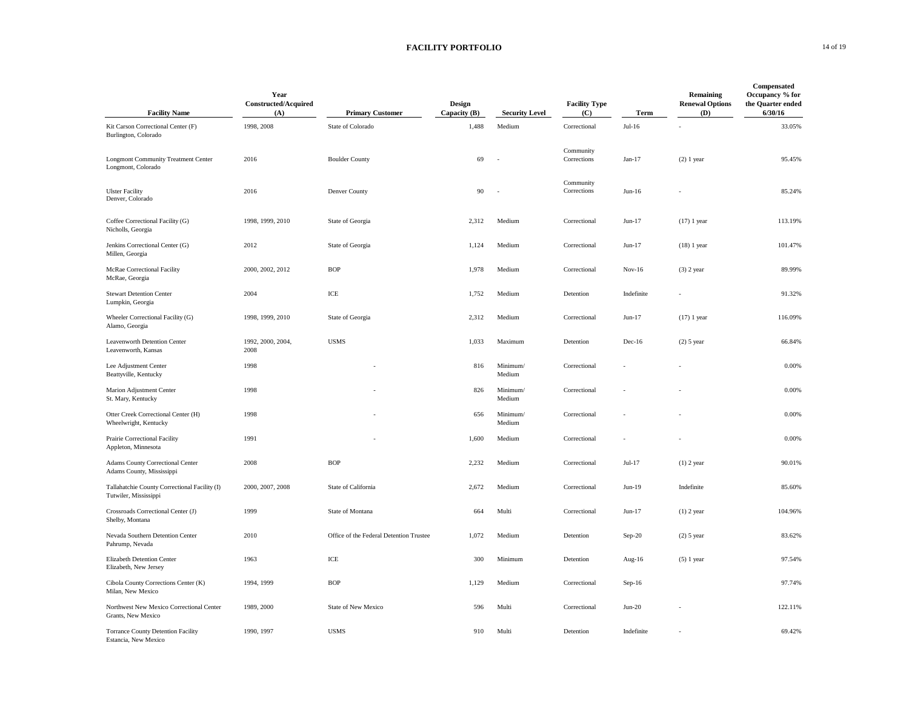### **FACILITY PORTFOLIO** 14 of 19

| <b>Facility Name</b>                                                   | Year<br>Constructed/Acquired<br>(A) | <b>Primary Customer</b>                 | Design<br>Capacity (B) | <b>Security Level</b> | <b>Facility Type</b><br>(C) | Term       | Remaining<br><b>Renewal Options</b><br>(D) | Compensated<br>Occupancy % for<br>the Quarter ended<br>6/30/16 |
|------------------------------------------------------------------------|-------------------------------------|-----------------------------------------|------------------------|-----------------------|-----------------------------|------------|--------------------------------------------|----------------------------------------------------------------|
| Kit Carson Correctional Center (F)<br>Burlington, Colorado             | 1998, 2008                          | State of Colorado                       | 1,488                  | Medium                | Correctional                | $Jul-16$   |                                            | 33.05%                                                         |
| <b>Longmont Community Treatment Center</b><br>Longmont, Colorado       | 2016                                | <b>Boulder County</b>                   | 69                     |                       | Community<br>Corrections    | $Jan-17$   | $(2)$ 1 year                               | 95.45%                                                         |
| <b>Ulster Facility</b><br>Denver, Colorado                             | 2016                                | Denver County                           | 90                     |                       | Community<br>Corrections    | $Jun-16$   |                                            | 85.24%                                                         |
| Coffee Correctional Facility (G)<br>Nicholls, Georgia                  | 1998, 1999, 2010                    | State of Georgia                        | 2,312                  | Medium                | Correctional                | $Jun-17$   | $(17)$ 1 year                              | 113.19%                                                        |
| Jenkins Correctional Center (G)<br>Millen, Georgia                     | 2012                                | State of Georgia                        | 1,124                  | Medium                | Correctional                | $Jun-17$   | $(18)$ 1 year                              | 101.47%                                                        |
| McRae Correctional Facility<br>McRae, Georgia                          | 2000, 2002, 2012                    | <b>BOP</b>                              | 1,978                  | Medium                | Correctional                | $Nov-16$   | $(3)$ 2 year                               | 89.99%                                                         |
| <b>Stewart Detention Center</b><br>Lumpkin, Georgia                    | 2004                                | ICE                                     | 1,752                  | Medium                | Detention                   | Indefinite |                                            | 91.32%                                                         |
| Wheeler Correctional Facility (G)<br>Alamo, Georgia                    | 1998, 1999, 2010                    | State of Georgia                        | 2,312                  | Medium                | Correctional                | $Jun-17$   | $(17)$ 1 year                              | 116.09%                                                        |
| Leavenworth Detention Center<br>Leavenworth, Kansas                    | 1992, 2000, 2004,<br>2008           | <b>USMS</b>                             | 1,033                  | Maximum               | Detention                   | $Dec-16$   | $(2)$ 5 year                               | 66.84%                                                         |
| Lee Adjustment Center<br>Beattyville, Kentucky                         | 1998                                |                                         | 816                    | Minimum/<br>Medium    | Correctional                |            |                                            | 0.00%                                                          |
| Marion Adjustment Center<br>St. Mary, Kentucky                         | 1998                                |                                         | 826                    | Minimum/<br>Medium    | Correctional                |            |                                            | 0.00%                                                          |
| Otter Creek Correctional Center (H)<br>Wheelwright, Kentucky           | 1998                                |                                         | 656                    | Minimum/<br>Medium    | Correctional                |            |                                            | 0.00%                                                          |
| Prairie Correctional Facility<br>Appleton, Minnesota                   | 1991                                |                                         | 1,600                  | Medium                | Correctional                |            |                                            | 0.00%                                                          |
| Adams County Correctional Center<br>Adams County, Mississippi          | 2008                                | <b>BOP</b>                              | 2,232                  | Medium                | Correctional                | Jul-17     | $(1)$ 2 year                               | 90.01%                                                         |
| Tallahatchie County Correctional Facility (I)<br>Tutwiler, Mississippi | 2000, 2007, 2008                    | State of California                     | 2,672                  | Medium                | Correctional                | Jun-19     | Indefinite                                 | 85.60%                                                         |
| Crossroads Correctional Center (J)<br>Shelby, Montana                  | 1999                                | State of Montana                        | 664                    | Multi                 | Correctional                | $Jun-17$   | $(1)$ 2 year                               | 104.96%                                                        |
| Nevada Southern Detention Center<br>Pahrump, Nevada                    | 2010                                | Office of the Federal Detention Trustee | 1,072                  | Medium                | Detention                   | $Sep-20$   | $(2)$ 5 year                               | 83.62%                                                         |
| Elizabeth Detention Center<br>Elizabeth, New Jersey                    | 1963                                | $\ensuremath{\text{ICE}}$               | 300                    | Minimum               | Detention                   | Aug-16     | $(5)$ 1 year                               | 97.54%                                                         |
| Cibola County Corrections Center (K)<br>Milan, New Mexico              | 1994, 1999                          | <b>BOP</b>                              | 1,129                  | Medium                | Correctional                | $Sep-16$   |                                            | 97.74%                                                         |
| Northwest New Mexico Correctional Center<br>Grants, New Mexico         | 1989, 2000                          | State of New Mexico                     | 596                    | Multi                 | Correctional                | $Jun-20$   |                                            | 122.11%                                                        |
| <b>Torrance County Detention Facility</b><br>Estancia, New Mexico      | 1990, 1997                          | <b>USMS</b>                             | 910                    | Multi                 | Detention                   | Indefinite |                                            | 69.42%                                                         |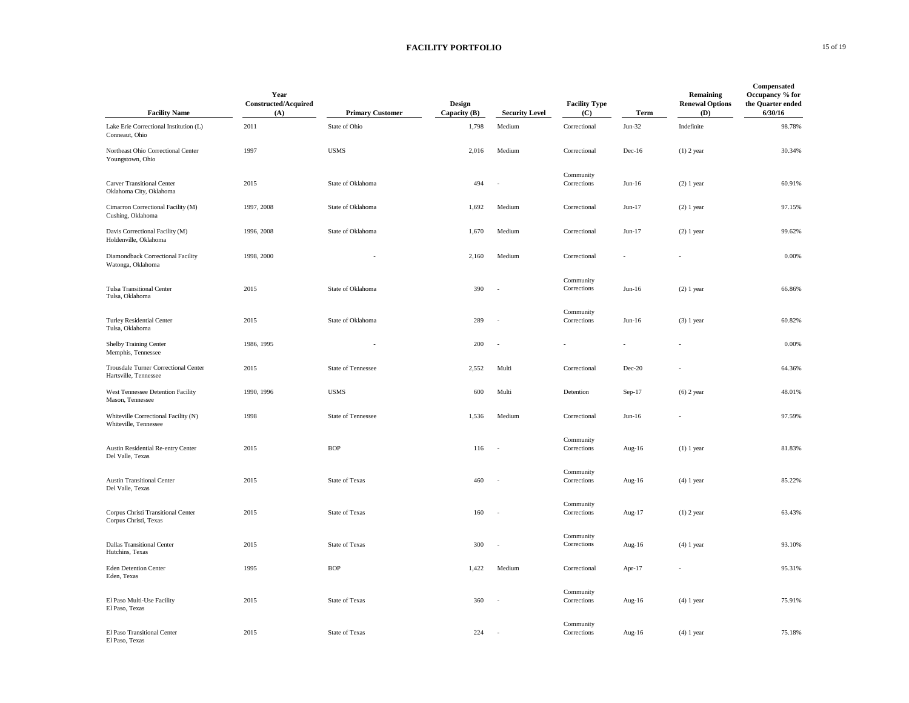### **FACILITY PORTFOLIO** 15 of 19

| <b>Facility Name</b>                                          | Year<br>Constructed/Acquired<br>(A) | <b>Primary Customer</b> | Design<br>Capacity $(B)$ | <b>Security Level</b> | <b>Facility Type</b><br>(C) | Term     | Remaining<br><b>Renewal Options</b><br>(D) | Compensated<br>Occupancy % for<br>the Quarter ended<br>6/30/16 |
|---------------------------------------------------------------|-------------------------------------|-------------------------|--------------------------|-----------------------|-----------------------------|----------|--------------------------------------------|----------------------------------------------------------------|
| Lake Erie Correctional Institution (L)<br>Conneaut, Ohio      | 2011                                | State of Ohio           | 1,798                    | Medium                | Correctional                | $Jun-32$ | Indefinite                                 | 98.78%                                                         |
| Northeast Ohio Correctional Center<br>Youngstown, Ohio        | 1997                                | <b>USMS</b>             | 2,016                    | Medium                | Correctional                | Dec-16   | $(1)$ 2 year                               | 30.34%                                                         |
| <b>Carver Transitional Center</b><br>Oklahoma City, Oklahoma  | 2015                                | State of Oklahoma       | 494                      |                       | Community<br>Corrections    | $Jun-16$ | $(2)$ 1 year                               | 60.91%                                                         |
| Cimarron Correctional Facility (M)<br>Cushing, Oklahoma       | 1997, 2008                          | State of Oklahoma       | 1,692                    | Medium                | Correctional                | Jun-17   | $(2)$ 1 year                               | 97.15%                                                         |
| Davis Correctional Facility (M)<br>Holdenville, Oklahoma      | 1996, 2008                          | State of Oklahoma       | 1,670                    | Medium                | Correctional                | Jun-17   | $(2)$ 1 year                               | 99.62%                                                         |
| Diamondback Correctional Facility<br>Watonga, Oklahoma        | 1998, 2000                          |                         | 2,160                    | Medium                | Correctional                |          |                                            | 0.00%                                                          |
| <b>Tulsa Transitional Center</b><br>Tulsa, Oklahoma           | 2015                                | State of Oklahoma       | 390                      | ٠                     | Community<br>Corrections    | $Jun-16$ | $(2)$ 1 year                               | 66.86%                                                         |
| <b>Turley Residential Center</b><br>Tulsa, Oklahoma           | 2015                                | State of Oklahoma       | 289                      |                       | Community<br>Corrections    | $Jun-16$ | $(3)$ 1 year                               | 60.82%                                                         |
| <b>Shelby Training Center</b><br>Memphis, Tennessee           | 1986, 1995                          |                         | 200                      |                       |                             |          |                                            | 0.00%                                                          |
| Trousdale Turner Correctional Center<br>Hartsville, Tennessee | 2015                                | State of Tennessee      | 2,552                    | Multi                 | Correctional                | Dec-20   |                                            | 64.36%                                                         |
| West Tennessee Detention Facility<br>Mason, Tennessee         | 1990, 1996                          | <b>USMS</b>             | 600                      | Multi                 | Detention                   | $Sep-17$ | $(6)$ 2 year                               | 48.01%                                                         |
| Whiteville Correctional Facility (N)<br>Whiteville, Tennessee | 1998                                | State of Tennessee      | 1,536                    | Medium                | Correctional                | $Jun-16$ |                                            | 97.59%                                                         |
| Austin Residential Re-entry Center<br>Del Valle, Texas        | 2015                                | <b>BOP</b>              | 116                      |                       | Community<br>Corrections    | Aug-16   | $(1)$ 1 year                               | 81.83%                                                         |
| <b>Austin Transitional Center</b><br>Del Valle, Texas         | 2015                                | <b>State of Texas</b>   | 460                      |                       | Community<br>Corrections    | Aug-16   | $(4)$ 1 year                               | 85.22%                                                         |
| Corpus Christi Transitional Center<br>Corpus Christi, Texas   | 2015                                | <b>State of Texas</b>   | 160                      | ÷.                    | Community<br>Corrections    | Aug-17   | $(1)$ 2 year                               | 63.43%                                                         |
| <b>Dallas Transitional Center</b><br>Hutchins, Texas          | 2015                                | State of Texas          | 300                      |                       | Community<br>Corrections    | Aug-16   | $(4)$ 1 year                               | 93.10%                                                         |
| <b>Eden Detention Center</b><br>Eden, Texas                   | 1995                                | <b>BOP</b>              | 1,422                    | Medium                | Correctional                | Apr-17   |                                            | 95.31%                                                         |
| El Paso Multi-Use Facility<br>El Paso, Texas                  | 2015                                | State of Texas          | 360                      |                       | Community<br>Corrections    | Aug-16   | $(4)$ 1 year                               | 75.91%                                                         |
| El Paso Transitional Center<br>El Paso, Texas                 | 2015                                | <b>State of Texas</b>   | 224                      |                       | Community<br>Corrections    | Aug-16   | $(4)$ 1 year                               | 75.18%                                                         |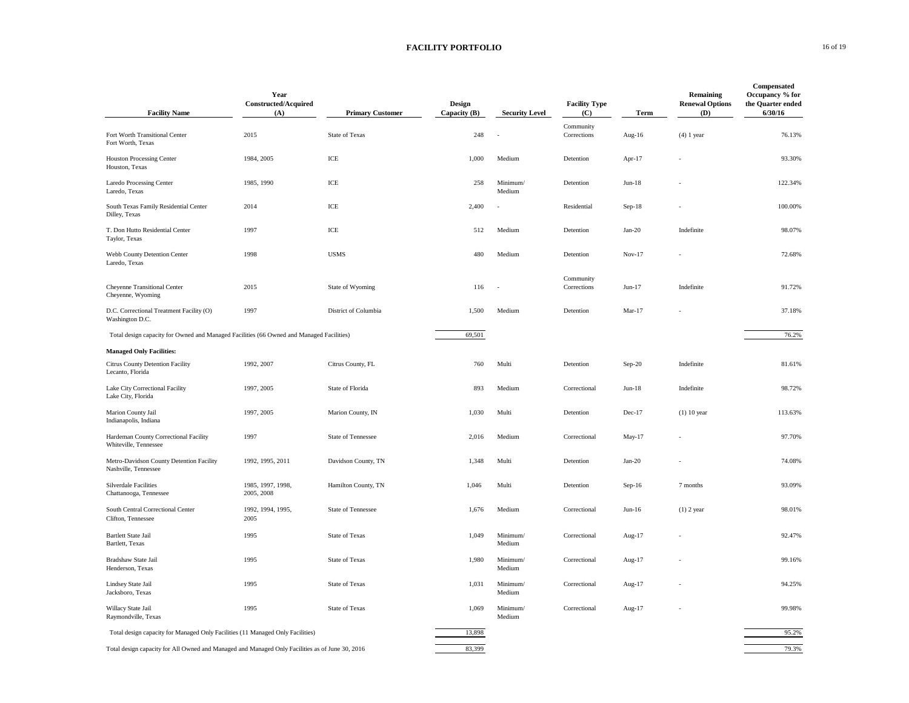### **FACILITY PORTFOLIO** 16 of 19

| <b>Facility Name</b>                                                                            | Year<br>Constructed/Acquired<br>(A) | <b>Primary Customer</b> | Design<br>Capacity (B) | <b>Security Level</b> | <b>Facility Type</b><br>(C) | Term     | Remaining<br><b>Renewal Options</b><br>(D) | Compensated<br>Occupancy % for<br>the Quarter ended<br>6/30/16 |
|-------------------------------------------------------------------------------------------------|-------------------------------------|-------------------------|------------------------|-----------------------|-----------------------------|----------|--------------------------------------------|----------------------------------------------------------------|
| Fort Worth Transitional Center<br>Fort Worth, Texas                                             | 2015                                | State of Texas          | 248                    |                       | Community<br>Corrections    | Aug-16   | $(4)$ 1 year                               | 76.13%                                                         |
| <b>Houston Processing Center</b><br>Houston, Texas                                              | 1984, 2005                          | ICE                     | 1.000                  | Medium                | Detention                   | Apr-17   |                                            | 93.30%                                                         |
| Laredo Processing Center<br>Laredo, Texas                                                       | 1985, 1990                          | ICE                     | 258                    | Minimum/<br>Medium    | Detention                   | $Jun-18$ |                                            | 122.34%                                                        |
| South Texas Family Residential Center<br>Dilley, Texas                                          | 2014                                | ICE                     | 2,400                  |                       | Residential                 | $Sep-18$ |                                            | 100.00%                                                        |
| T. Don Hutto Residential Center<br>Taylor, Texas                                                | 1997                                | $\rm ICE$               | 512                    | Medium                | Detention                   | $Jan-20$ | Indefinite                                 | 98.07%                                                         |
| Webb County Detention Center<br>Laredo, Texas                                                   | 1998                                | <b>USMS</b>             | 480                    | Medium                | Detention                   | Nov-17   |                                            | 72.68%                                                         |
| Cheyenne Transitional Center<br>Cheyenne, Wyoming                                               | 2015                                | State of Wyoming        | 116                    |                       | Community<br>Corrections    | Jun-17   | Indefinite                                 | 91.72%                                                         |
| D.C. Correctional Treatment Facility (O)<br>Washington D.C.                                     | 1997                                | District of Columbia    | 1,500                  | Medium                | Detention                   | $Mar-17$ |                                            | 37.18%                                                         |
| Total design capacity for Owned and Managed Facilities (66 Owned and Managed Facilities)        | 69,501                              |                         |                        |                       |                             | 76.2%    |                                            |                                                                |
| <b>Managed Only Facilities:</b>                                                                 |                                     |                         |                        |                       |                             |          |                                            |                                                                |
| Citrus County Detention Facility<br>Lecanto, Florida                                            | 1992, 2007                          | Citrus County, FL       | 760                    | Multi                 | Detention                   | $Sep-20$ | Indefinite                                 | 81.61%                                                         |
| Lake City Correctional Facility<br>Lake City, Florida                                           | 1997, 2005                          | State of Florida        | 893                    | Medium                | Correctional                | $Jun-18$ | Indefinite                                 | 98.72%                                                         |
| Marion County Jail<br>Indianapolis, Indiana                                                     | 1997, 2005                          | Marion County, IN       | 1,030                  | Multi                 | Detention                   | Dec-17   | $(1)$ 10 year                              | 113.63%                                                        |
| Hardeman County Correctional Facility<br>Whiteville, Tennessee                                  | 1997                                | State of Tennessee      | 2,016                  | Medium                | Correctional                | May-17   |                                            | 97.70%                                                         |
| Metro-Davidson County Detention Facility<br>Nashville, Tennessee                                | 1992, 1995, 2011                    | Davidson County, TN     | 1,348                  | Multi                 | Detention                   | $Jan-20$ |                                            | 74.08%                                                         |
| Silverdale Facilities<br>Chattanooga, Tennessee                                                 | 1985, 1997, 1998,<br>2005, 2008     | Hamilton County, TN     | 1,046                  | Multi                 | Detention                   | $Sep-16$ | 7 months                                   | 93.09%                                                         |
| South Central Correctional Center<br>Clifton, Tennessee                                         | 1992, 1994, 1995,<br>2005           | State of Tennessee      | 1,676                  | Medium                | Correctional                | $Jun-16$ | $(1)$ 2 year                               | 98.01%                                                         |
| <b>Bartlett State Jail</b><br>Bartlett, Texas                                                   | 1995                                | <b>State of Texas</b>   | 1,049                  | Minimum/<br>Medium    | Correctional                | Aug-17   |                                            | 92.47%                                                         |
| Bradshaw State Jail<br>Henderson, Texas                                                         | 1995                                | <b>State of Texas</b>   | 1,980                  | Minimum/<br>Medium    | Correctional                | Aug-17   |                                            | 99.16%                                                         |
| Lindsey State Jail<br>Jacksboro, Texas                                                          | 1995                                | State of Texas          | 1,031                  | Minimum/<br>Medium    | Correctional                | Aug-17   |                                            | 94.25%                                                         |
| Willacy State Jail<br>Raymondville, Texas                                                       | 1995                                | <b>State of Texas</b>   | 1,069                  | Minimum/<br>Medium    | Correctional                | Aug-17   |                                            | 99.98%                                                         |
| Total design capacity for Managed Only Facilities (11 Managed Only Facilities)                  |                                     |                         | 13,898                 |                       |                             |          |                                            | 95.2%                                                          |
| Total design capacity for All Owned and Managed and Managed Only Facilities as of June 30, 2016 |                                     |                         | 83.399                 |                       |                             |          |                                            | 79.3%                                                          |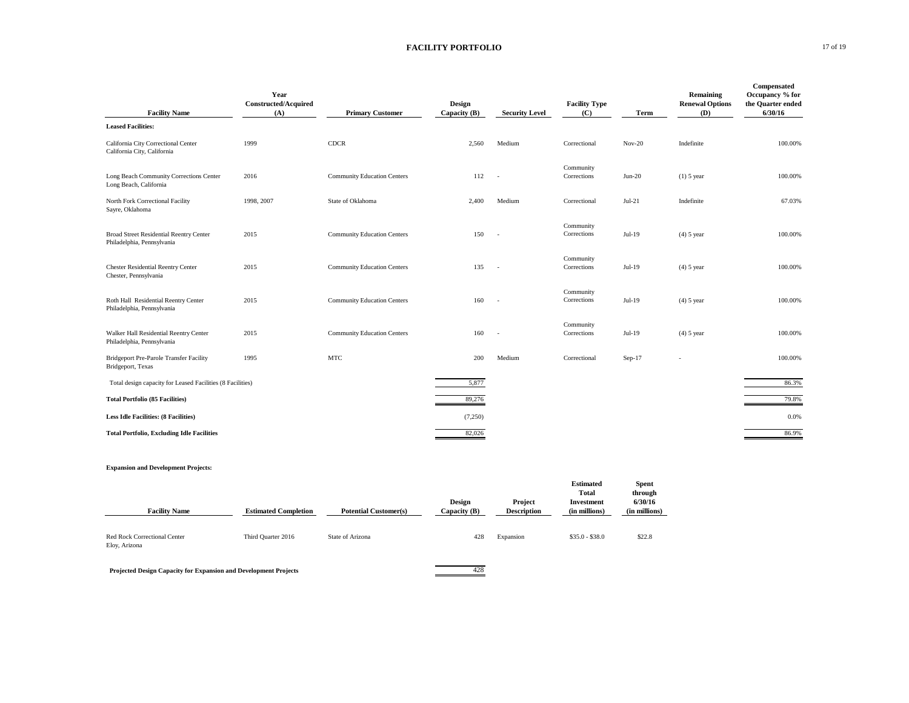### **FACILITY PORTFOLIO** 17 of 19

| <b>Facility Name</b>                                                         | Year<br><b>Constructed/Acquired</b><br>(A) | <b>Primary Customer</b>            | Design<br>Capacity (B) | <b>Security Level</b> | <b>Facility Type</b><br>(C) | Term     | Remaining<br><b>Renewal Options</b><br>(D) | Compensated<br>Occupancy % for<br>the Quarter ended<br>6/30/16 |
|------------------------------------------------------------------------------|--------------------------------------------|------------------------------------|------------------------|-----------------------|-----------------------------|----------|--------------------------------------------|----------------------------------------------------------------|
| <b>Leased Facilities:</b>                                                    |                                            |                                    |                        |                       |                             |          |                                            |                                                                |
| California City Correctional Center<br>California City, California           | 1999                                       | <b>CDCR</b>                        | 2,560                  | Medium                | Correctional                | $Nov-20$ | Indefinite                                 | 100.00%                                                        |
| Long Beach Community Corrections Center<br>Long Beach, California            | 2016                                       | <b>Community Education Centers</b> | 112                    | $\sim$                | Community<br>Corrections    | $Jun-20$ | $(1)$ 5 year                               | 100.00%                                                        |
| North Fork Correctional Facility<br>Sayre, Oklahoma                          | 1998, 2007                                 | State of Oklahoma                  | 2,400                  | Medium                | Correctional                | $Jul-21$ | Indefinite                                 | 67.03%                                                         |
| <b>Broad Street Residential Reentry Center</b><br>Philadelphia, Pennsylvania | 2015                                       | <b>Community Education Centers</b> | 150                    | $\sim$                | Community<br>Corrections    | Jul-19   | $(4)$ 5 year                               | 100,00%                                                        |
| <b>Chester Residential Reentry Center</b><br>Chester, Pennsylvania           | 2015                                       | <b>Community Education Centers</b> | 135                    | $\sim$ $-$            | Community<br>Corrections    | Jul-19   | $(4)$ 5 year                               | 100.00%                                                        |
| Roth Hall Residential Reentry Center<br>Philadelphia, Pennsylvania           | 2015                                       | <b>Community Education Centers</b> | 160                    | $\sim$                | Community<br>Corrections    | Jul-19   | $(4)$ 5 year                               | 100.00%                                                        |
| Walker Hall Residential Reentry Center<br>Philadelphia, Pennsylvania         | 2015                                       | <b>Community Education Centers</b> | 160                    | $\sim$                | Community<br>Corrections    | Jul-19   | $(4)$ 5 year                               | 100.00%                                                        |
| Bridgeport Pre-Parole Transfer Facility<br>Bridgeport, Texas                 | 1995                                       | MTC                                | 200                    | Medium                | Correctional                | $Sep-17$ |                                            | 100.00%                                                        |
| Total design capacity for Leased Facilities (8 Facilities)                   |                                            |                                    | 5,877                  |                       |                             |          |                                            | 86.3%                                                          |
| <b>Total Portfolio (85 Facilities)</b>                                       |                                            |                                    | 89,276                 |                       |                             |          |                                            | 79.8%                                                          |
| <b>Less Idle Facilities: (8 Facilities)</b>                                  |                                            |                                    | (7,250)                |                       |                             |          |                                            | 0.0%                                                           |
| <b>Total Portfolio, Excluding Idle Facilities</b>                            |                                            |                                    | 82,026                 |                       |                             |          |                                            | 86.9%                                                          |

#### **Expansion and Development Projects:**

| <b>Facility Name</b>                          | <b>Estimated Completion</b> | <b>Potential Customer(s)</b> | Design<br>Capacity (B) | Project<br><b>Description</b> | <b>Estimated</b><br>Total<br>Investment<br>(in millions) | <b>Spent</b><br>through<br>6/30/16<br>(in millions) |
|-----------------------------------------------|-----------------------------|------------------------------|------------------------|-------------------------------|----------------------------------------------------------|-----------------------------------------------------|
| Red Rock Correctional Center<br>Eloy, Arizona | Third Quarter 2016          | State of Arizona             | 428                    | Expansion                     | $$35.0 - $38.0$                                          | \$22.8                                              |

**Projected Design Capacity for Expansion and Development Projects** 428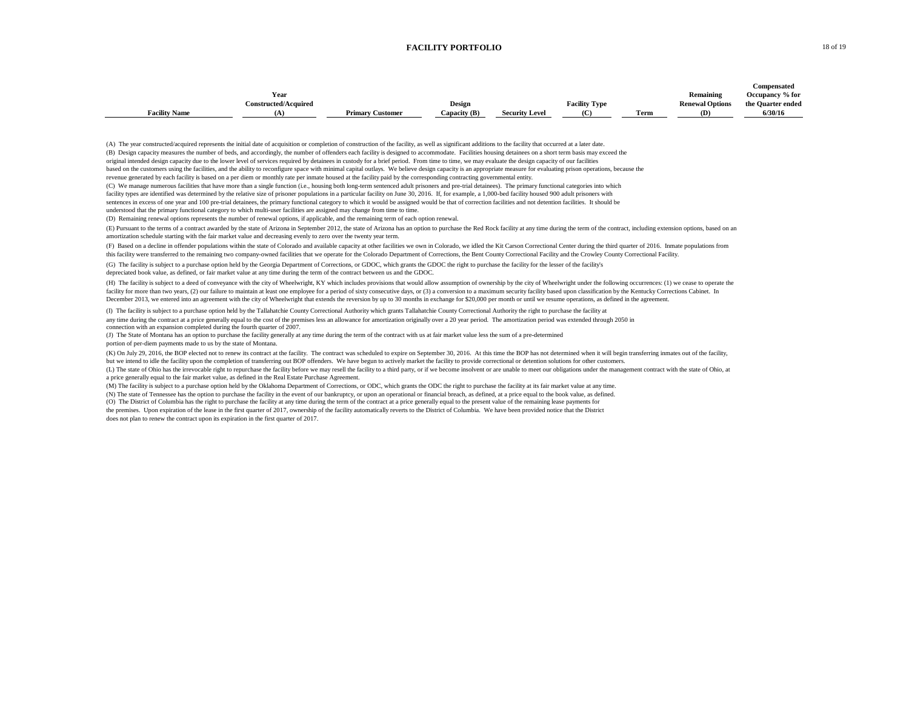#### **FACILITY PORTFOLIO** 18 of 19

|                      |                      |                         |                |                       |                      |      |                        | Compensated       |
|----------------------|----------------------|-------------------------|----------------|-----------------------|----------------------|------|------------------------|-------------------|
|                      | Year                 |                         |                |                       |                      |      | Remaining              | Occupancy % for   |
|                      | Constructed/Acquired |                         | Design         |                       | <b>Facility Type</b> |      | <b>Renewal Options</b> | the Quarter ended |
| <b>Facility Name</b> |                      | <b>Primary Customer</b> | Capacity $(B)$ | <b>Security Level</b> |                      | Term | (D)                    | 6/30/16           |

(A) The year constructed/acquired represents the initial date of acquisition or completion of construction of the facility, as well as significant additions to the facility that occurred at a later date.

(B) Design capacity measures the number of beds, and accordingly, the number of offenders each facility is designed to accommodate. Facilities housing detainees on a short term basis may exceed the

original intended design capacity due to the lower level of services required by detainees in custody for a brief period. From time to time, we may evaluate the design capacity of our facilities

based on the customers using the facilities, and the ability to reconfigure space with minimal capital outlays. We believe design capacity is an appropriate measure for evaluating prison operations, because the

revenue generated by each facility is based on a per diem or monthly rate per inmate housed at the facility paid by the corresponding contracting governmental entity.

(C) We manage numerous facilities that have more than a single function (i.e., housing both long-term sentenced adult prisoners and pre-trial detainees). The primary functional categories into which

facility types are identified was determined by the relative size of prisoner populations in a particular facility on June 30, 2016. If, for example, a 1,000-bed facility housed 900 adult prisoners with

sentences in excess of one year and 100 pre-trial detainees, the primary functional category to which it would be assigned would be that of correction facilities and not detention facilities. It should be

understood that the primary functional category to which multi-user facilities are assigned may change from time to time.

(D) Remaining renewal options represents the number of renewal options, if applicable, and the remaining term of each option renewal.

(E) Pursuant to the terms of a contract awarded by the state of Arizona in September 2012, the state of Arizona has an option to purchase the Red Rock facility at any time during the term of the contract, including extensi amortization schedule starting with the fair market value and decreasing evenly to zero over the twenty year term.

(F) Based on a decline in offender populations within the state of Colorado and available capacity at other facilities we own in Colorado, we idled the Kit Carson Correctional Center during the third quarter of 2016. Inmat this facility were transferred to the remaining two company-owned facilities that we operate for the Colorado Department of Corrections, the Bent County Correctional Facility and the Crowley County Correctional Facility.

(G) The facility is subject to a purchase option held by the Georgia Department of Corrections, or GDOC, which grants the GDOC the right to purchase the facility for the lesser of the facility's

depreciated book value, as defined, or fair market value at any time during the term of the contract between us and the GDOC.

(H) The facility is subject to a deed of conveyance with the city of Wheelwright, KY which includes provisions that would allow assumption of ownership by the city of Wheelwright under the following occurrences: (1) we cea facility for more than two years, (2) our failure to maintain at least one employee for a period of sixty consecutive days, or (3) a conversion to a maximum security facility based upon classification by the Kentucky Corre December 2013, we entered into an agreement with the city of Wheelwright that extends the reversion by up to 30 months in exchange for \$20,000 per month or until we resume operations, as defined in the agreement.

(I) The facility is subject to a purchase option held by the Tallahatchie County Correctional Authority which grants Tallahatchie County Correctional Authority the right to purchase the facility at any time during the contract at a price generally equal to the cost of the premises less an allowance for amortization originally over a 20 year period. The amortization period was extended through 2050 in connection with an expansion completed during the fourth quarter of 2007.

(J) The State of Montana has an option to purchase the facility generally at any time during the term of the contract with us at fair market value less the sum of a pre-determined portion of per-diem payments made to us by the state of Montana.

(K) On July 29, 2016, the BOP elected not to renew its contract at the facility. The contract was scheduled to expire on September 30, 2016. At this time the BOP has not determined when it will begin transferring inmates o but we intend to idle the facility upon the completion of transferring out BOP offenders. We have begun to actively market the facility to provide correctional or detention solutions for other customers.

(L) The state of Ohio has the irrevocable right to repurchase the facility before we may resell the facility to a third party, or if we become insolvent or are unable to meet our obligations under the management contract w a price generally equal to the fair market value, as defined in the Real Estate Purchase Agreement.

(M) The facility is subject to a purchase option held by the Oklahoma Department of Corrections, or ODC, which grants the ODC the right to purchase the facility at its fair market value at any time. (N) The state of Tennessee has the option to purchase the facility in the event of our bankruptcy, or upon an operational or financial breach, as defined, at a price equal to the book value, as defined. (O) The District of Columbia has the right to purchase the facility at any time during the term of the contract at a price generally equal to the present value of the remaining lease payments for the premises. Upon expiration of the lease in the first quarter of 2017, ownership of the facility automatically reverts to the District of Columbia. We have been provided notice that the District does not plan to renew the contract upon its expiration in the first quarter of 2017.